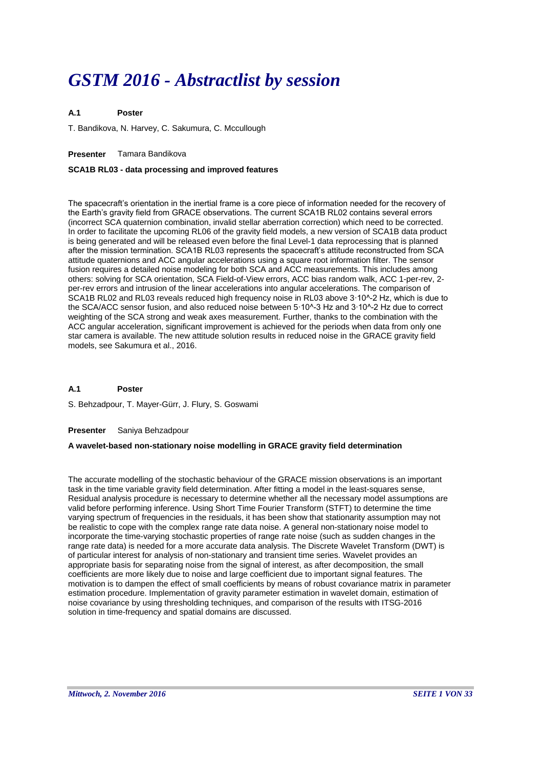# *GSTM 2016 - Abstractlist by session*

#### **A.1 Poster**

T. Bandikova, N. Harvey, C. Sakumura, C. Mccullough

# **Presenter** Tamara Bandikova

# **SCA1B RL03 - data processing and improved features**

The spacecraft's orientation in the inertial frame is a core piece of information needed for the recovery of the Earth's gravity field from GRACE observations. The current SCA1B RL02 contains several errors (incorrect SCA quaternion combination, invalid stellar aberration correction) which need to be corrected. In order to facilitate the upcoming RL06 of the gravity field models, a new version of SCA1B data product is being generated and will be released even before the final Level-1 data reprocessing that is planned after the mission termination. SCA1B RL03 represents the spacecraft's attitude reconstructed from SCA attitude quaternions and ACC angular accelerations using a square root information filter. The sensor fusion requires a detailed noise modeling for both SCA and ACC measurements. This includes among others: solving for SCA orientation, SCA Field-of-View errors, ACC bias random walk, ACC 1-per-rev, 2 per-rev errors and intrusion of the linear accelerations into angular accelerations. The comparison of SCA1B RL02 and RL03 reveals reduced high frequency noise in RL03 above 3∙10^-2 Hz, which is due to the SCA/ACC sensor fusion, and also reduced noise between 5∙10^-3 Hz and 3∙10^-2 Hz due to correct weighting of the SCA strong and weak axes measurement. Further, thanks to the combination with the ACC angular acceleration, significant improvement is achieved for the periods when data from only one star camera is available. The new attitude solution results in reduced noise in the GRACE gravity field models, see Sakumura et al., 2016.

#### **A.1 Poster**

S. Behzadpour, T. Mayer-Gürr, J. Flury, S. Goswami

### **Presenter** Saniya Behzadpour

# **A wavelet-based non-stationary noise modelling in GRACE gravity field determination**

The accurate modelling of the stochastic behaviour of the GRACE mission observations is an important task in the time variable gravity field determination. After fitting a model in the least-squares sense, Residual analysis procedure is necessary to determine whether all the necessary model assumptions are valid before performing inference. Using Short Time Fourier Transform (STFT) to determine the time varying spectrum of frequencies in the residuals, it has been show that stationarity assumption may not be realistic to cope with the complex range rate data noise. A general non-stationary noise model to incorporate the time-varying stochastic properties of range rate noise (such as sudden changes in the range rate data) is needed for a more accurate data analysis. The Discrete Wavelet Transform (DWT) is of particular interest for analysis of non-stationary and transient time series. Wavelet provides an appropriate basis for separating noise from the signal of interest, as after decomposition, the small coefficients are more likely due to noise and large coefficient due to important signal features. The motivation is to dampen the effect of small coefficients by means of robust covariance matrix in parameter estimation procedure. Implementation of gravity parameter estimation in wavelet domain, estimation of noise covariance by using thresholding techniques, and comparison of the results with ITSG-2016 solution in time-frequency and spatial domains are discussed.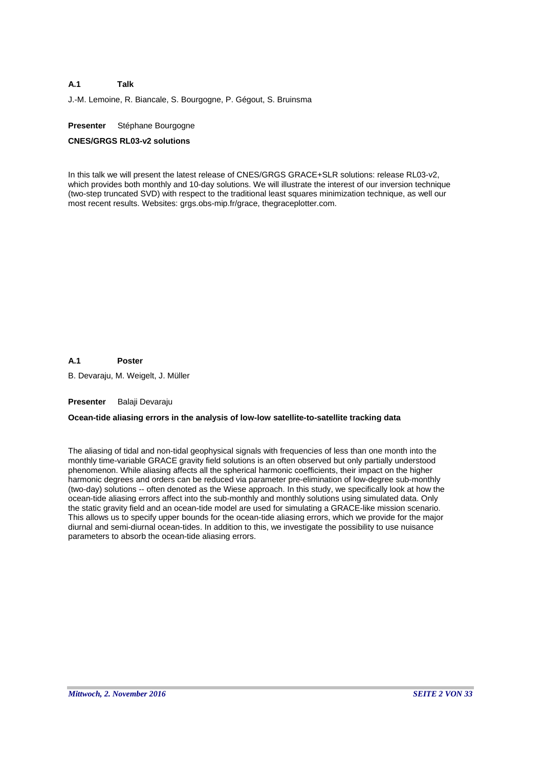J.-M. Lemoine, R. Biancale, S. Bourgogne, P. Gégout, S. Bruinsma

### **Presenter** Stéphane Bourgogne

### **CNES/GRGS RL03-v2 solutions**

In this talk we will present the latest release of CNES/GRGS GRACE+SLR solutions: release RL03-v2, which provides both monthly and 10-day solutions. We will illustrate the interest of our inversion technique (two-step truncated SVD) with respect to the traditional least squares minimization technique, as well our most recent results. Websites: grgs.obs-mip.fr/grace, thegraceplotter.com.

#### **A.1 Poster**

B. Devaraju, M. Weigelt, J. Müller

### **Presenter** Balaji Devaraju

### **Ocean-tide aliasing errors in the analysis of low-low satellite-to-satellite tracking data**

The aliasing of tidal and non-tidal geophysical signals with frequencies of less than one month into the monthly time-variable GRACE gravity field solutions is an often observed but only partially understood phenomenon. While aliasing affects all the spherical harmonic coefficients, their impact on the higher harmonic degrees and orders can be reduced via parameter pre-elimination of low-degree sub-monthly (two-day) solutions -- often denoted as the Wiese approach. In this study, we specifically look at how the ocean-tide aliasing errors affect into the sub-monthly and monthly solutions using simulated data. Only the static gravity field and an ocean-tide model are used for simulating a GRACE-like mission scenario. This allows us to specify upper bounds for the ocean-tide aliasing errors, which we provide for the major diurnal and semi-diurnal ocean-tides. In addition to this, we investigate the possibility to use nuisance parameters to absorb the ocean-tide aliasing errors.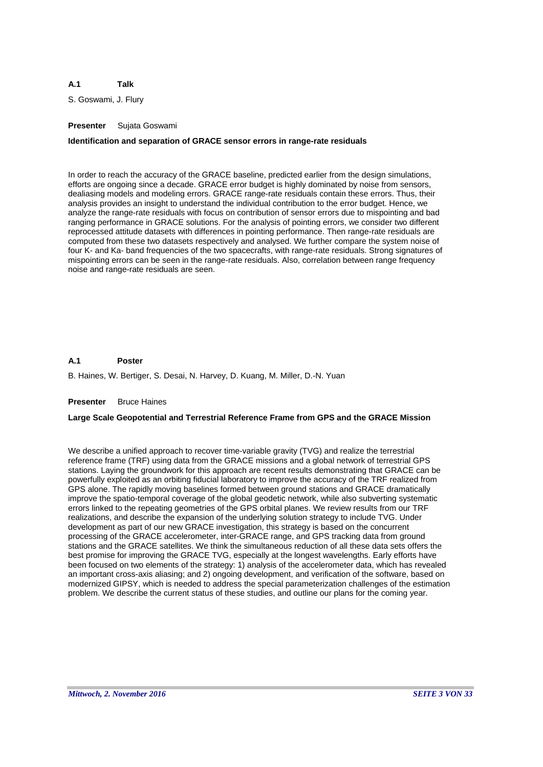S. Goswami, J. Flury

# **Presenter** Sujata Goswami

### **Identification and separation of GRACE sensor errors in range-rate residuals**

In order to reach the accuracy of the GRACE baseline, predicted earlier from the design simulations, efforts are ongoing since a decade. GRACE error budget is highly dominated by noise from sensors, dealiasing models and modeling errors. GRACE range-rate residuals contain these errors. Thus, their analysis provides an insight to understand the individual contribution to the error budget. Hence, we analyze the range-rate residuals with focus on contribution of sensor errors due to mispointing and bad ranging performance in GRACE solutions. For the analysis of pointing errors, we consider two different reprocessed attitude datasets with differences in pointing performance. Then range-rate residuals are computed from these two datasets respectively and analysed. We further compare the system noise of four K- and Ka- band frequencies of the two spacecrafts, with range-rate residuals. Strong signatures of mispointing errors can be seen in the range-rate residuals. Also, correlation between range frequency noise and range-rate residuals are seen.

#### **A.1 Poster**

B. Haines, W. Bertiger, S. Desai, N. Harvey, D. Kuang, M. Miller, D.-N. Yuan

#### **Presenter** Bruce Haines

### **Large Scale Geopotential and Terrestrial Reference Frame from GPS and the GRACE Mission**

We describe a unified approach to recover time-variable gravity (TVG) and realize the terrestrial reference frame (TRF) using data from the GRACE missions and a global network of terrestrial GPS stations. Laying the groundwork for this approach are recent results demonstrating that GRACE can be powerfully exploited as an orbiting fiducial laboratory to improve the accuracy of the TRF realized from GPS alone. The rapidly moving baselines formed between ground stations and GRACE dramatically improve the spatio-temporal coverage of the global geodetic network, while also subverting systematic errors linked to the repeating geometries of the GPS orbital planes. We review results from our TRF realizations, and describe the expansion of the underlying solution strategy to include TVG. Under development as part of our new GRACE investigation, this strategy is based on the concurrent processing of the GRACE accelerometer, inter-GRACE range, and GPS tracking data from ground stations and the GRACE satellites. We think the simultaneous reduction of all these data sets offers the best promise for improving the GRACE TVG, especially at the longest wavelengths. Early efforts have been focused on two elements of the strategy: 1) analysis of the accelerometer data, which has revealed an important cross-axis aliasing; and 2) ongoing development, and verification of the software, based on modernized GIPSY, which is needed to address the special parameterization challenges of the estimation problem. We describe the current status of these studies, and outline our plans for the coming year.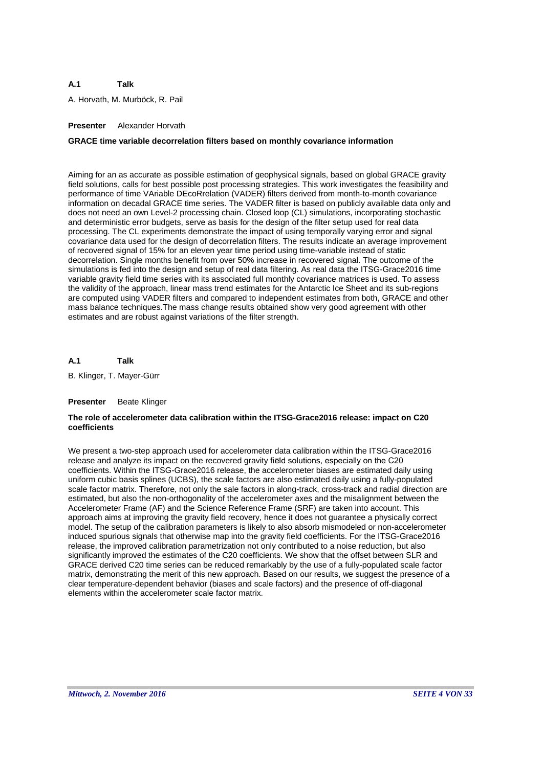A. Horvath, M. Murböck, R. Pail

# **Presenter** Alexander Horvath

### **GRACE time variable decorrelation filters based on monthly covariance information**

Aiming for an as accurate as possible estimation of geophysical signals, based on global GRACE gravity field solutions, calls for best possible post processing strategies. This work investigates the feasibility and performance of time VAriable DEcoRrelation (VADER) filters derived from month-to-month covariance information on decadal GRACE time series. The VADER filter is based on publicly available data only and does not need an own Level-2 processing chain. Closed loop (CL) simulations, incorporating stochastic and deterministic error budgets, serve as basis for the design of the filter setup used for real data processing. The CL experiments demonstrate the impact of using temporally varying error and signal covariance data used for the design of decorrelation filters. The results indicate an average improvement of recovered signal of 15% for an eleven year time period using time-variable instead of static decorrelation. Single months benefit from over 50% increase in recovered signal. The outcome of the simulations is fed into the design and setup of real data filtering. As real data the ITSG-Grace2016 time variable gravity field time series with its associated full monthly covariance matrices is used. To assess the validity of the approach, linear mass trend estimates for the Antarctic Ice Sheet and its sub-regions are computed using VADER filters and compared to independent estimates from both, GRACE and other mass balance techniques.The mass change results obtained show very good agreement with other estimates and are robust against variations of the filter strength.

#### **A.1 Talk**

B. Klinger, T. Mayer-Gürr

### **Presenter** Beate Klinger

### **The role of accelerometer data calibration within the ITSG-Grace2016 release: impact on C20 coefficients**

We present a two-step approach used for accelerometer data calibration within the ITSG-Grace2016 release and analyze its impact on the recovered gravity field solutions, especially on the C20 coefficients. Within the ITSG-Grace2016 release, the accelerometer biases are estimated daily using uniform cubic basis splines (UCBS), the scale factors are also estimated daily using a fully-populated scale factor matrix. Therefore, not only the sale factors in along-track, cross-track and radial direction are estimated, but also the non-orthogonality of the accelerometer axes and the misalignment between the Accelerometer Frame (AF) and the Science Reference Frame (SRF) are taken into account. This approach aims at improving the gravity field recovery, hence it does not guarantee a physically correct model. The setup of the calibration parameters is likely to also absorb mismodeled or non-accelerometer induced spurious signals that otherwise map into the gravity field coefficients. For the ITSG-Grace2016 release, the improved calibration parametrization not only contributed to a noise reduction, but also significantly improved the estimates of the C20 coefficients. We show that the offset between SLR and GRACE derived C20 time series can be reduced remarkably by the use of a fully-populated scale factor matrix, demonstrating the merit of this new approach. Based on our results, we suggest the presence of a clear temperature-dependent behavior (biases and scale factors) and the presence of off-diagonal elements within the accelerometer scale factor matrix.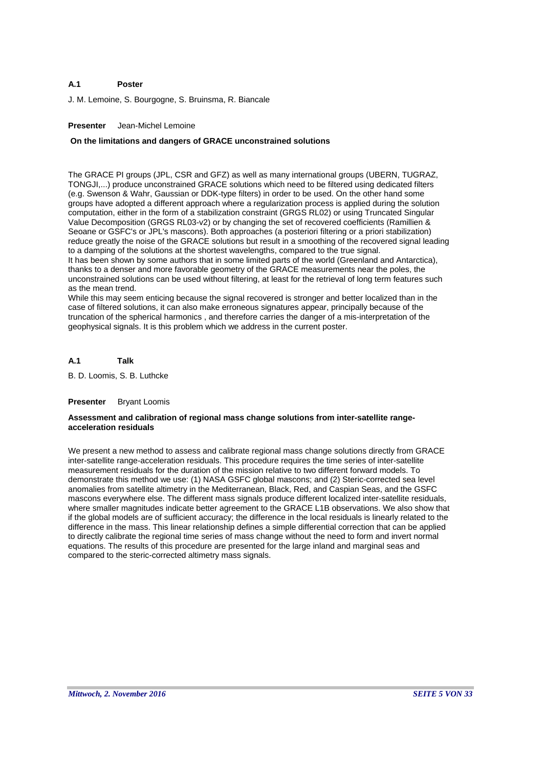#### **A.1 Poster**

J. M. Lemoine, S. Bourgogne, S. Bruinsma, R. Biancale

### **Presenter** Jean-Michel Lemoine

### **On the limitations and dangers of GRACE unconstrained solutions**

The GRACE PI groups (JPL, CSR and GFZ) as well as many international groups (UBERN, TUGRAZ, TONGJI,...) produce unconstrained GRACE solutions which need to be filtered using dedicated filters (e.g. Swenson & Wahr, Gaussian or DDK-type filters) in order to be used. On the other hand some groups have adopted a different approach where a regularization process is applied during the solution computation, either in the form of a stabilization constraint (GRGS RL02) or using Truncated Singular Value Decomposition (GRGS RL03-v2) or by changing the set of recovered coefficients (Ramillien & Seoane or GSFC's or JPL's mascons). Both approaches (a posteriori filtering or a priori stabilization) reduce greatly the noise of the GRACE solutions but result in a smoothing of the recovered signal leading to a damping of the solutions at the shortest wavelengths, compared to the true signal. It has been shown by some authors that in some limited parts of the world (Greenland and Antarctica),

thanks to a denser and more favorable geometry of the GRACE measurements near the poles, the unconstrained solutions can be used without filtering, at least for the retrieval of long term features such as the mean trend.

While this may seem enticing because the signal recovered is stronger and better localized than in the case of filtered solutions, it can also make erroneous signatures appear, principally because of the truncation of the spherical harmonics , and therefore carries the danger of a mis-interpretation of the geophysical signals. It is this problem which we address in the current poster.

#### **A.1 Talk**

B. D. Loomis, S. B. Luthcke

#### **Presenter** Bryant Loomis

### **Assessment and calibration of regional mass change solutions from inter-satellite rangeacceleration residuals**

We present a new method to assess and calibrate regional mass change solutions directly from GRACE inter-satellite range-acceleration residuals. This procedure requires the time series of inter-satellite measurement residuals for the duration of the mission relative to two different forward models. To demonstrate this method we use: (1) NASA GSFC global mascons; and (2) Steric-corrected sea level anomalies from satellite altimetry in the Mediterranean, Black, Red, and Caspian Seas, and the GSFC mascons everywhere else. The different mass signals produce different localized inter-satellite residuals, where smaller magnitudes indicate better agreement to the GRACE L1B observations. We also show that if the global models are of sufficient accuracy; the difference in the local residuals is linearly related to the difference in the mass. This linear relationship defines a simple differential correction that can be applied to directly calibrate the regional time series of mass change without the need to form and invert normal equations. The results of this procedure are presented for the large inland and marginal seas and compared to the steric-corrected altimetry mass signals.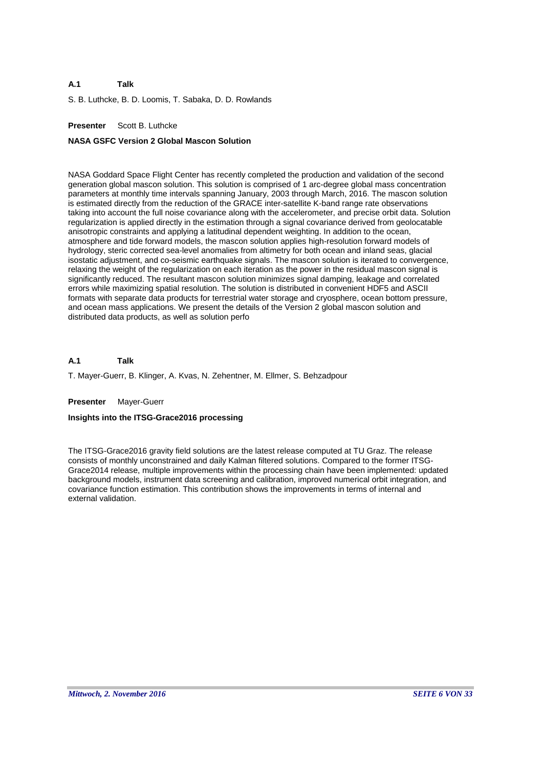S. B. Luthcke, B. D. Loomis, T. Sabaka, D. D. Rowlands

# **Presenter** Scott B. Luthcke

#### **NASA GSFC Version 2 Global Mascon Solution**

NASA Goddard Space Flight Center has recently completed the production and validation of the second generation global mascon solution. This solution is comprised of 1 arc-degree global mass concentration parameters at monthly time intervals spanning January, 2003 through March, 2016. The mascon solution is estimated directly from the reduction of the GRACE inter-satellite K-band range rate observations taking into account the full noise covariance along with the accelerometer, and precise orbit data. Solution regularization is applied directly in the estimation through a signal covariance derived from geolocatable anisotropic constraints and applying a latitudinal dependent weighting. In addition to the ocean, atmosphere and tide forward models, the mascon solution applies high-resolution forward models of hydrology, steric corrected sea-level anomalies from altimetry for both ocean and inland seas, glacial isostatic adjustment, and co-seismic earthquake signals. The mascon solution is iterated to convergence, relaxing the weight of the regularization on each iteration as the power in the residual mascon signal is significantly reduced. The resultant mascon solution minimizes signal damping, leakage and correlated errors while maximizing spatial resolution. The solution is distributed in convenient HDF5 and ASCII formats with separate data products for terrestrial water storage and cryosphere, ocean bottom pressure, and ocean mass applications. We present the details of the Version 2 global mascon solution and distributed data products, as well as solution perfo

#### **A.1 Talk**

T. Mayer-Guerr, B. Klinger, A. Kvas, N. Zehentner, M. Ellmer, S. Behzadpour

#### **Presenter** Mayer-Guerr

#### **Insights into the ITSG-Grace2016 processing**

The ITSG-Grace2016 gravity field solutions are the latest release computed at TU Graz. The release consists of monthly unconstrained and daily Kalman filtered solutions. Compared to the former ITSG-Grace2014 release, multiple improvements within the processing chain have been implemented: updated background models, instrument data screening and calibration, improved numerical orbit integration, and covariance function estimation. This contribution shows the improvements in terms of internal and external validation.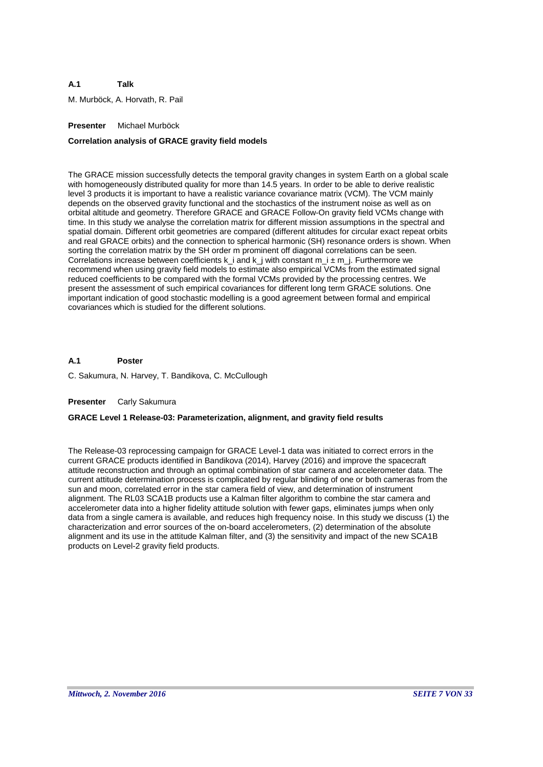M. Murböck, A. Horvath, R. Pail

# **Presenter** Michael Murböck

# **Correlation analysis of GRACE gravity field models**

The GRACE mission successfully detects the temporal gravity changes in system Earth on a global scale with homogeneously distributed quality for more than 14.5 years. In order to be able to derive realistic level 3 products it is important to have a realistic variance covariance matrix (VCM). The VCM mainly depends on the observed gravity functional and the stochastics of the instrument noise as well as on orbital altitude and geometry. Therefore GRACE and GRACE Follow-On gravity field VCMs change with time. In this study we analyse the correlation matrix for different mission assumptions in the spectral and spatial domain. Different orbit geometries are compared (different altitudes for circular exact repeat orbits and real GRACE orbits) and the connection to spherical harmonic (SH) resonance orders is shown. When sorting the correlation matrix by the SH order m prominent off diagonal correlations can be seen. Correlations increase between coefficients  $k_i$  and  $k_j$  with constant  $m_i \pm m_j$ . Furthermore we recommend when using gravity field models to estimate also empirical VCMs from the estimated signal reduced coefficients to be compared with the formal VCMs provided by the processing centres. We present the assessment of such empirical covariances for different long term GRACE solutions. One important indication of good stochastic modelling is a good agreement between formal and empirical covariances which is studied for the different solutions.

#### **A.1 Poster**

C. Sakumura, N. Harvey, T. Bandikova, C. McCullough

### **Presenter** Carly Sakumura

# **GRACE Level 1 Release-03: Parameterization, alignment, and gravity field results**

The Release-03 reprocessing campaign for GRACE Level-1 data was initiated to correct errors in the current GRACE products identified in Bandikova (2014), Harvey (2016) and improve the spacecraft attitude reconstruction and through an optimal combination of star camera and accelerometer data. The current attitude determination process is complicated by regular blinding of one or both cameras from the sun and moon, correlated error in the star camera field of view, and determination of instrument alignment. The RL03 SCA1B products use a Kalman filter algorithm to combine the star camera and accelerometer data into a higher fidelity attitude solution with fewer gaps, eliminates jumps when only data from a single camera is available, and reduces high frequency noise. In this study we discuss (1) the characterization and error sources of the on-board accelerometers, (2) determination of the absolute alignment and its use in the attitude Kalman filter, and (3) the sensitivity and impact of the new SCA1B products on Level-2 gravity field products.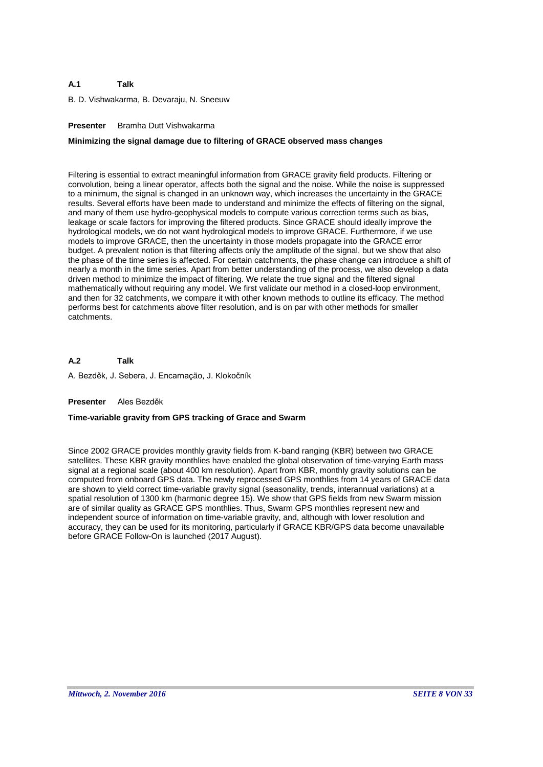B. D. Vishwakarma, B. Devaraju, N. Sneeuw

# **Presenter** Bramha Dutt Vishwakarma

# **Minimizing the signal damage due to filtering of GRACE observed mass changes**

Filtering is essential to extract meaningful information from GRACE gravity field products. Filtering or convolution, being a linear operator, affects both the signal and the noise. While the noise is suppressed to a minimum, the signal is changed in an unknown way, which increases the uncertainty in the GRACE results. Several efforts have been made to understand and minimize the effects of filtering on the signal, and many of them use hydro-geophysical models to compute various correction terms such as bias, leakage or scale factors for improving the filtered products. Since GRACE should ideally improve the hydrological models, we do not want hydrological models to improve GRACE. Furthermore, if we use models to improve GRACE, then the uncertainty in those models propagate into the GRACE error budget. A prevalent notion is that filtering affects only the amplitude of the signal, but we show that also the phase of the time series is affected. For certain catchments, the phase change can introduce a shift of nearly a month in the time series. Apart from better understanding of the process, we also develop a data driven method to minimize the impact of filtering. We relate the true signal and the filtered signal mathematically without requiring any model. We first validate our method in a closed-loop environment, and then for 32 catchments, we compare it with other known methods to outline its efficacy. The method performs best for catchments above filter resolution, and is on par with other methods for smaller catchments.

**A.2** A. Bezděk, J. Sebera, J. Encarnação, J. Klokočník **Talk**

### **Presenter** Ales Bezděk

### **Time-variable gravity from GPS tracking of Grace and Swarm**

Since 2002 GRACE provides monthly gravity fields from K-band ranging (KBR) between two GRACE satellites. These KBR gravity monthlies have enabled the global observation of time-varying Earth mass signal at a regional scale (about 400 km resolution). Apart from KBR, monthly gravity solutions can be computed from onboard GPS data. The newly reprocessed GPS monthlies from 14 years of GRACE data are shown to yield correct time-variable gravity signal (seasonality, trends, interannual variations) at a spatial resolution of 1300 km (harmonic degree 15). We show that GPS fields from new Swarm mission are of similar quality as GRACE GPS monthlies. Thus, Swarm GPS monthlies represent new and independent source of information on time-variable gravity, and, although with lower resolution and accuracy, they can be used for its monitoring, particularly if GRACE KBR/GPS data become unavailable before GRACE Follow-On is launched (2017 August).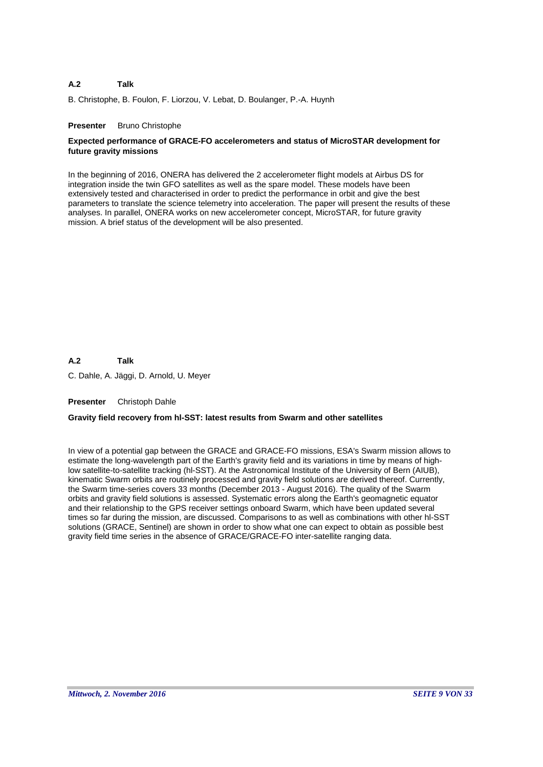#### **A.2 Talk**

B. Christophe, B. Foulon, F. Liorzou, V. Lebat, D. Boulanger, P.-A. Huynh

### **Presenter** Bruno Christophe

# **Expected performance of GRACE-FO accelerometers and status of MicroSTAR development for future gravity missions**

In the beginning of 2016, ONERA has delivered the 2 accelerometer flight models at Airbus DS for integration inside the twin GFO satellites as well as the spare model. These models have been extensively tested and characterised in order to predict the performance in orbit and give the best parameters to translate the science telemetry into acceleration. The paper will present the results of these analyses. In parallel, ONERA works on new accelerometer concept, MicroSTAR, for future gravity mission. A brief status of the development will be also presented.

**A.2** C. Dahle, A. Jäggi, D. Arnold, U. Meyer **Talk**

**Presenter** Christoph Dahle

### **Gravity field recovery from hl-SST: latest results from Swarm and other satellites**

In view of a potential gap between the GRACE and GRACE-FO missions, ESA's Swarm mission allows to estimate the long-wavelength part of the Earth's gravity field and its variations in time by means of highlow satellite-to-satellite tracking (hl-SST). At the Astronomical Institute of the University of Bern (AIUB), kinematic Swarm orbits are routinely processed and gravity field solutions are derived thereof. Currently, the Swarm time-series covers 33 months (December 2013 - August 2016). The quality of the Swarm orbits and gravity field solutions is assessed. Systematic errors along the Earth's geomagnetic equator and their relationship to the GPS receiver settings onboard Swarm, which have been updated several times so far during the mission, are discussed. Comparisons to as well as combinations with other hl-SST solutions (GRACE, Sentinel) are shown in order to show what one can expect to obtain as possible best gravity field time series in the absence of GRACE/GRACE-FO inter-satellite ranging data.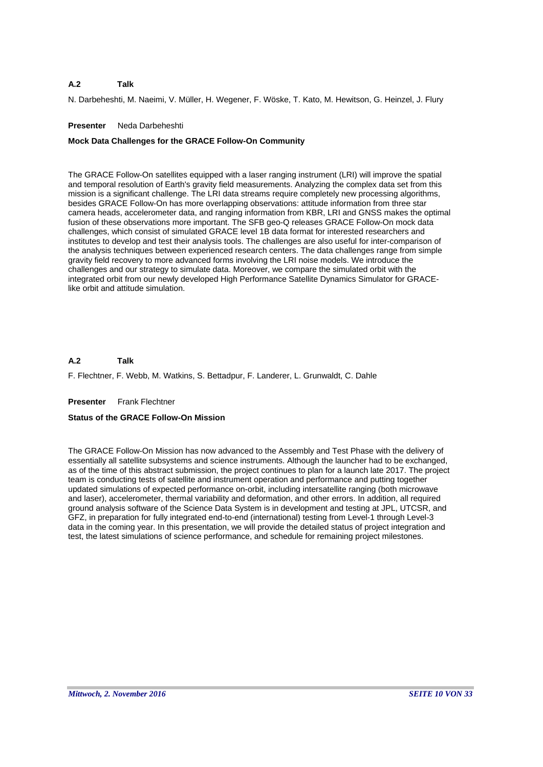#### **A.2 Talk**

N. Darbeheshti, M. Naeimi, V. Müller, H. Wegener, F. Wöske, T. Kato, M. Hewitson, G. Heinzel, J. Flury

### **Presenter** Neda Darbeheshti

# **Mock Data Challenges for the GRACE Follow-On Community**

The GRACE Follow-On satellites equipped with a laser ranging instrument (LRI) will improve the spatial and temporal resolution of Earth's gravity field measurements. Analyzing the complex data set from this mission is a significant challenge. The LRI data streams require completely new processing algorithms, besides GRACE Follow-On has more overlapping observations: attitude information from three star camera heads, accelerometer data, and ranging information from KBR, LRI and GNSS makes the optimal fusion of these observations more important. The SFB geo-Q releases GRACE Follow-On mock data challenges, which consist of simulated GRACE level 1B data format for interested researchers and institutes to develop and test their analysis tools. The challenges are also useful for inter-comparison of the analysis techniques between experienced research centers. The data challenges range from simple gravity field recovery to more advanced forms involving the LRI noise models. We introduce the challenges and our strategy to simulate data. Moreover, we compare the simulated orbit with the integrated orbit from our newly developed High Performance Satellite Dynamics Simulator for GRACElike orbit and attitude simulation.

#### **A.2 Talk**

F. Flechtner, F. Webb, M. Watkins, S. Bettadpur, F. Landerer, L. Grunwaldt, C. Dahle

### **Presenter** Frank Flechtner

# **Status of the GRACE Follow-On Mission**

The GRACE Follow-On Mission has now advanced to the Assembly and Test Phase with the delivery of essentially all satellite subsystems and science instruments. Although the launcher had to be exchanged, as of the time of this abstract submission, the project continues to plan for a launch late 2017. The project team is conducting tests of satellite and instrument operation and performance and putting together updated simulations of expected performance on-orbit, including intersatellite ranging (both microwave and laser), accelerometer, thermal variability and deformation, and other errors. In addition, all required ground analysis software of the Science Data System is in development and testing at JPL, UTCSR, and GFZ, in preparation for fully integrated end-to-end (international) testing from Level-1 through Level-3 data in the coming year. In this presentation, we will provide the detailed status of project integration and test, the latest simulations of science performance, and schedule for remaining project milestones.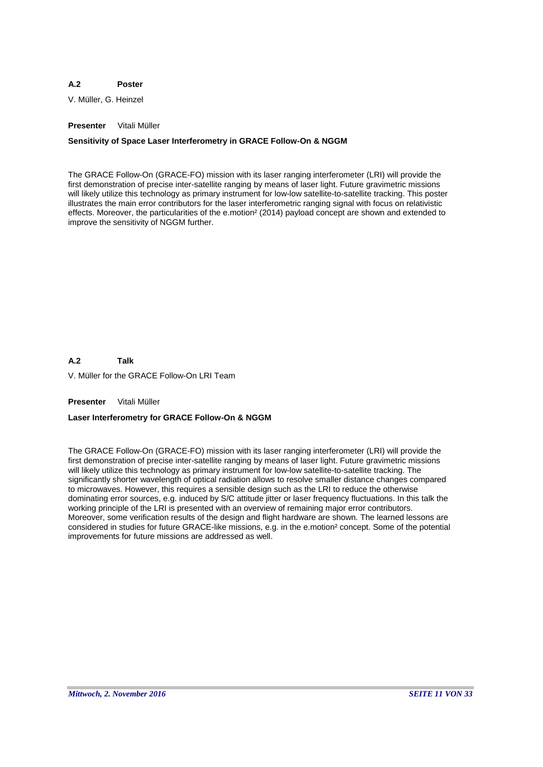#### **A.2 Poster**

V. Müller, G. Heinzel

# **Presenter** Vitali Müller

# **Sensitivity of Space Laser Interferometry in GRACE Follow-On & NGGM**

The GRACE Follow-On (GRACE-FO) mission with its laser ranging interferometer (LRI) will provide the first demonstration of precise inter-satellite ranging by means of laser light. Future gravimetric missions will likely utilize this technology as primary instrument for low-low satellite-to-satellite tracking. This poster illustrates the main error contributors for the laser interferometric ranging signal with focus on relativistic effects. Moreover, the particularities of the e.motion² (2014) payload concept are shown and extended to improve the sensitivity of NGGM further.

**A.2 Talk**

V. Müller for the GRACE Follow-On LRI Team

**Presenter** Vitali Müller

# **Laser Interferometry for GRACE Follow-On & NGGM**

The GRACE Follow-On (GRACE-FO) mission with its laser ranging interferometer (LRI) will provide the first demonstration of precise inter-satellite ranging by means of laser light. Future gravimetric missions will likely utilize this technology as primary instrument for low-low satellite-to-satellite tracking. The significantly shorter wavelength of optical radiation allows to resolve smaller distance changes compared to microwaves. However, this requires a sensible design such as the LRI to reduce the otherwise dominating error sources, e.g. induced by S/C attitude jitter or laser frequency fluctuations. In this talk the working principle of the LRI is presented with an overview of remaining major error contributors. Moreover, some verification results of the design and flight hardware are shown. The learned lessons are considered in studies for future GRACE-like missions, e.g. in the e.motion² concept. Some of the potential improvements for future missions are addressed as well.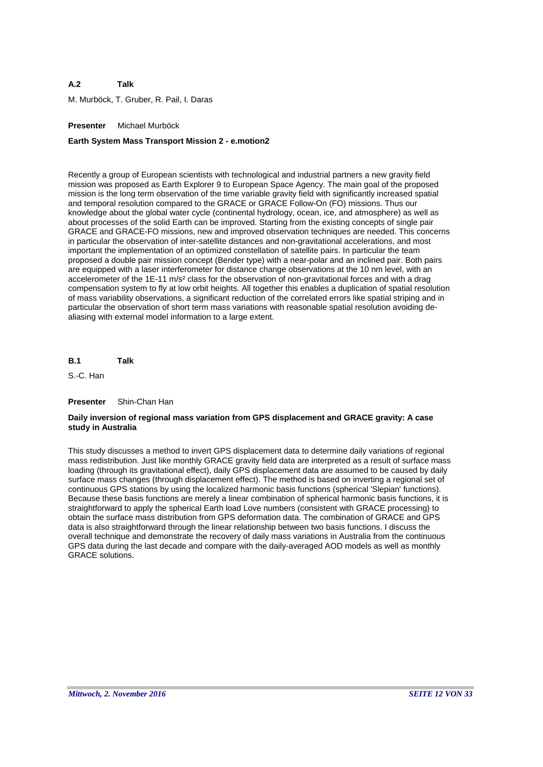#### **A.2 Talk**

M. Murböck, T. Gruber, R. Pail, I. Daras

# **Presenter** Michael Murböck

# **Earth System Mass Transport Mission 2 - e.motion2**

Recently a group of European scientists with technological and industrial partners a new gravity field mission was proposed as Earth Explorer 9 to European Space Agency. The main goal of the proposed mission is the long term observation of the time variable gravity field with significantly increased spatial and temporal resolution compared to the GRACE or GRACE Follow-On (FO) missions. Thus our knowledge about the global water cycle (continental hydrology, ocean, ice, and atmosphere) as well as about processes of the solid Earth can be improved. Starting from the existing concepts of single pair GRACE and GRACE-FO missions, new and improved observation techniques are needed. This concerns in particular the observation of inter-satellite distances and non-gravitational accelerations, and most important the implementation of an optimized constellation of satellite pairs. In particular the team proposed a double pair mission concept (Bender type) with a near-polar and an inclined pair. Both pairs are equipped with a laser interferometer for distance change observations at the 10 nm level, with an accelerometer of the 1E-11 m/s² class for the observation of non-gravitational forces and with a drag compensation system to fly at low orbit heights. All together this enables a duplication of spatial resolution of mass variability observations, a significant reduction of the correlated errors like spatial striping and in particular the observation of short term mass variations with reasonable spatial resolution avoiding dealiasing with external model information to a large extent.

**B.1 Talk**

S.-C. Han

### **Presenter** Shin-Chan Han

# **Daily inversion of regional mass variation from GPS displacement and GRACE gravity: A case study in Australia**

This study discusses a method to invert GPS displacement data to determine daily variations of regional mass redistribution. Just like monthly GRACE gravity field data are interpreted as a result of surface mass loading (through its gravitational effect), daily GPS displacement data are assumed to be caused by daily surface mass changes (through displacement effect). The method is based on inverting a regional set of continuous GPS stations by using the localized harmonic basis functions (spherical 'Slepian' functions). Because these basis functions are merely a linear combination of spherical harmonic basis functions, it is straightforward to apply the spherical Earth load Love numbers (consistent with GRACE processing) to obtain the surface mass distribution from GPS deformation data. The combination of GRACE and GPS data is also straightforward through the linear relationship between two basis functions. I discuss the overall technique and demonstrate the recovery of daily mass variations in Australia from the continuous GPS data during the last decade and compare with the daily-averaged AOD models as well as monthly GRACE solutions.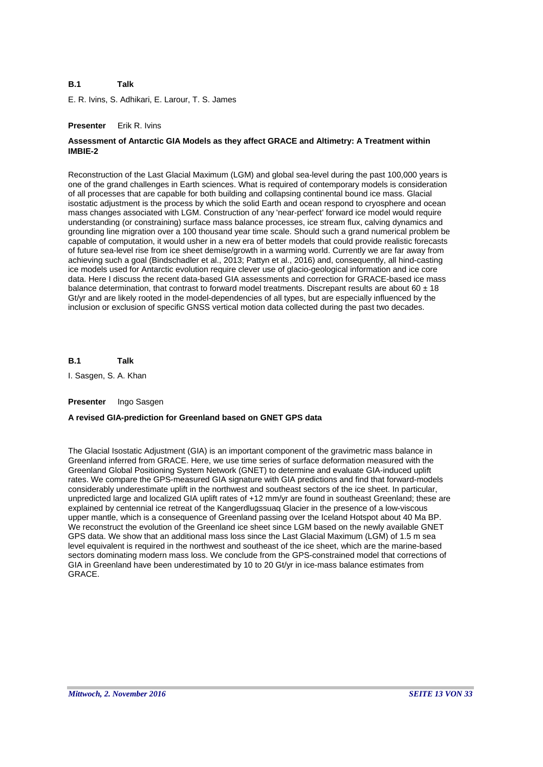#### **B.1 Talk**

E. R. Ivins, S. Adhikari, E. Larour, T. S. James

### **Presenter** Erik R. Ivins

# **Assessment of Antarctic GIA Models as they affect GRACE and Altimetry: A Treatment within IMBIE-2**

Reconstruction of the Last Glacial Maximum (LGM) and global sea-level during the past 100,000 years is one of the grand challenges in Earth sciences. What is required of contemporary models is consideration of all processes that are capable for both building and collapsing continental bound ice mass. Glacial isostatic adjustment is the process by which the solid Earth and ocean respond to cryosphere and ocean mass changes associated with LGM. Construction of any 'near-perfect' forward ice model would require understanding (or constraining) surface mass balance processes, ice stream flux, calving dynamics and grounding line migration over a 100 thousand year time scale. Should such a grand numerical problem be capable of computation, it would usher in a new era of better models that could provide realistic forecasts of future sea-level rise from ice sheet demise/growth in a warming world. Currently we are far away from achieving such a goal (Bindschadler et al., 2013; Pattyn et al., 2016) and, consequently, all hind-casting ice models used for Antarctic evolution require clever use of glacio-geological information and ice core data. Here I discuss the recent data-based GIA assessments and correction for GRACE-based ice mass balance determination, that contrast to forward model treatments. Discrepant results are about  $60 \pm 18$ Gt/yr and are likely rooted in the model-dependencies of all types, but are especially influenced by the inclusion or exclusion of specific GNSS vertical motion data collected during the past two decades.

**B.1 Talk**

I. Sasgen, S. A. Khan

### **Presenter** Ingo Sasgen

### **A revised GIA-prediction for Greenland based on GNET GPS data**

The Glacial Isostatic Adjustment (GIA) is an important component of the gravimetric mass balance in Greenland inferred from GRACE. Here, we use time series of surface deformation measured with the Greenland Global Positioning System Network (GNET) to determine and evaluate GIA-induced uplift rates. We compare the GPS-measured GIA signature with GIA predictions and find that forward-models considerably underestimate uplift in the northwest and southeast sectors of the ice sheet. In particular, unpredicted large and localized GIA uplift rates of +12 mm/yr are found in southeast Greenland; these are explained by centennial ice retreat of the Kangerdlugssuaq Glacier in the presence of a low-viscous upper mantle, which is a consequence of Greenland passing over the Iceland Hotspot about 40 Ma BP. We reconstruct the evolution of the Greenland ice sheet since LGM based on the newly available GNET GPS data. We show that an additional mass loss since the Last Glacial Maximum (LGM) of 1.5 m sea level equivalent is required in the northwest and southeast of the ice sheet, which are the marine-based sectors dominating modern mass loss. We conclude from the GPS-constrained model that corrections of GIA in Greenland have been underestimated by 10 to 20 Gt/yr in ice-mass balance estimates from GRACE.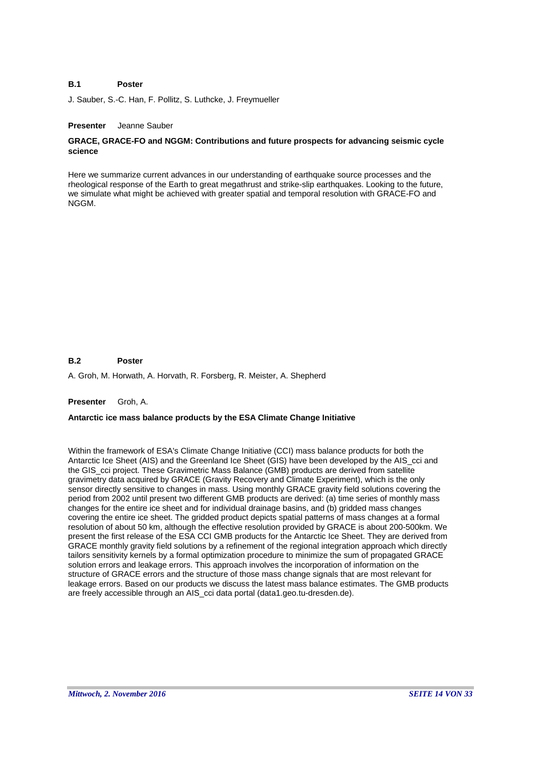#### **B.1 Poster**

J. Sauber, S.-C. Han, F. Pollitz, S. Luthcke, J. Freymueller

### **Presenter** Jeanne Sauber

# **GRACE, GRACE-FO and NGGM: Contributions and future prospects for advancing seismic cycle science**

Here we summarize current advances in our understanding of earthquake source processes and the rheological response of the Earth to great megathrust and strike-slip earthquakes. Looking to the future, we simulate what might be achieved with greater spatial and temporal resolution with GRACE-FO and NGGM.

#### **B.2 Poster**

A. Groh, M. Horwath, A. Horvath, R. Forsberg, R. Meister, A. Shepherd

# **Presenter** Groh, A.

### **Antarctic ice mass balance products by the ESA Climate Change Initiative**

Within the framework of ESA's Climate Change Initiative (CCI) mass balance products for both the Antarctic Ice Sheet (AIS) and the Greenland Ice Sheet (GIS) have been developed by the AIS\_cci and the GIS\_cci project. These Gravimetric Mass Balance (GMB) products are derived from satellite gravimetry data acquired by GRACE (Gravity Recovery and Climate Experiment), which is the only sensor directly sensitive to changes in mass. Using monthly GRACE gravity field solutions covering the period from 2002 until present two different GMB products are derived: (a) time series of monthly mass changes for the entire ice sheet and for individual drainage basins, and (b) gridded mass changes covering the entire ice sheet. The gridded product depicts spatial patterns of mass changes at a formal resolution of about 50 km, although the effective resolution provided by GRACE is about 200-500km. We present the first release of the ESA CCI GMB products for the Antarctic Ice Sheet. They are derived from GRACE monthly gravity field solutions by a refinement of the regional integration approach which directly tailors sensitivity kernels by a formal optimization procedure to minimize the sum of propagated GRACE solution errors and leakage errors. This approach involves the incorporation of information on the structure of GRACE errors and the structure of those mass change signals that are most relevant for leakage errors. Based on our products we discuss the latest mass balance estimates. The GMB products are freely accessible through an AIS\_cci data portal (data1.geo.tu-dresden.de).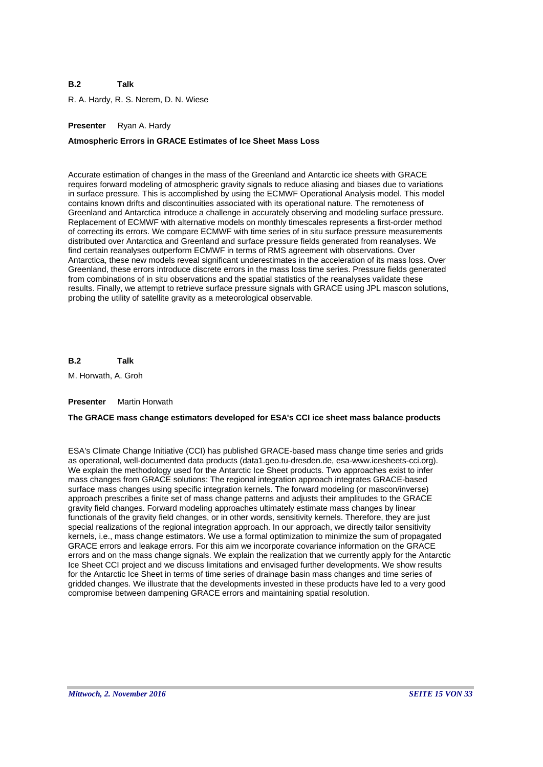#### **B.2 Talk**

R. A. Hardy, R. S. Nerem, D. N. Wiese

# **Presenter** Ryan A. Hardy

### **Atmospheric Errors in GRACE Estimates of Ice Sheet Mass Loss**

Accurate estimation of changes in the mass of the Greenland and Antarctic ice sheets with GRACE requires forward modeling of atmospheric gravity signals to reduce aliasing and biases due to variations in surface pressure. This is accomplished by using the ECMWF Operational Analysis model. This model contains known drifts and discontinuities associated with its operational nature. The remoteness of Greenland and Antarctica introduce a challenge in accurately observing and modeling surface pressure. Replacement of ECMWF with alternative models on monthly timescales represents a first-order method of correcting its errors. We compare ECMWF with time series of in situ surface pressure measurements distributed over Antarctica and Greenland and surface pressure fields generated from reanalyses. We find certain reanalyses outperform ECMWF in terms of RMS agreement with observations. Over Antarctica, these new models reveal significant underestimates in the acceleration of its mass loss. Over Greenland, these errors introduce discrete errors in the mass loss time series. Pressure fields generated from combinations of in situ observations and the spatial statistics of the reanalyses validate these results. Finally, we attempt to retrieve surface pressure signals with GRACE using JPL mascon solutions, probing the utility of satellite gravity as a meteorological observable.

**B.2 Talk**

M. Horwath, A. Groh

#### **Presenter** Martin Horwath

### **The GRACE mass change estimators developed for ESA's CCI ice sheet mass balance products**

ESA's Climate Change Initiative (CCI) has published GRACE-based mass change time series and grids as operational, well-documented data products (data1.geo.tu-dresden.de, esa-www.icesheets-cci.org). We explain the methodology used for the Antarctic Ice Sheet products. Two approaches exist to infer mass changes from GRACE solutions: The regional integration approach integrates GRACE-based surface mass changes using specific integration kernels. The forward modeling (or mascon/inverse) approach prescribes a finite set of mass change patterns and adjusts their amplitudes to the GRACE gravity field changes. Forward modeling approaches ultimately estimate mass changes by linear functionals of the gravity field changes, or in other words, sensitivity kernels. Therefore, they are just special realizations of the regional integration approach. In our approach, we directly tailor sensitivity kernels, i.e., mass change estimators. We use a formal optimization to minimize the sum of propagated GRACE errors and leakage errors. For this aim we incorporate covariance information on the GRACE errors and on the mass change signals. We explain the realization that we currently apply for the Antarctic Ice Sheet CCI project and we discuss limitations and envisaged further developments. We show results for the Antarctic Ice Sheet in terms of time series of drainage basin mass changes and time series of gridded changes. We illustrate that the developments invested in these products have led to a very good compromise between dampening GRACE errors and maintaining spatial resolution.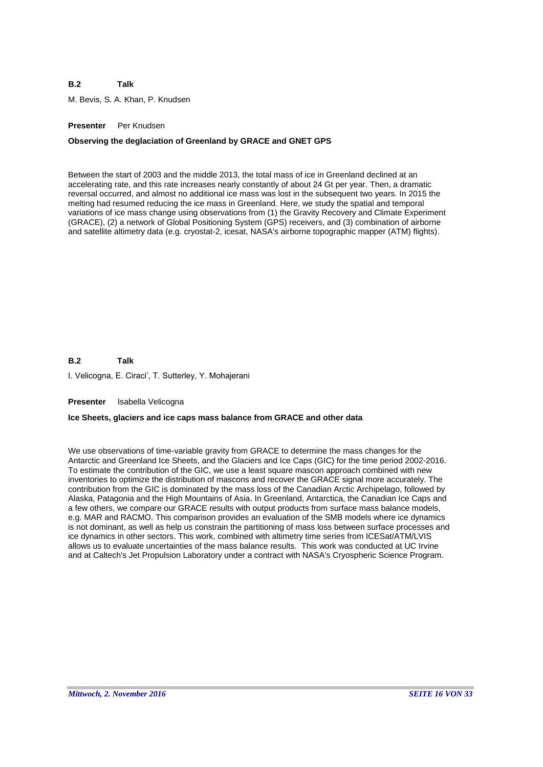#### **B.2 Talk**

M. Bevis, S. A. Khan, P. Knudsen

# **Presenter** Per Knudsen

### **Observing the deglaciation of Greenland by GRACE and GNET GPS**

Between the start of 2003 and the middle 2013, the total mass of ice in Greenland declined at an accelerating rate, and this rate increases nearly constantly of about 24 Gt per year. Then, a dramatic reversal occurred, and almost no additional ice mass was lost in the subsequent two years. In 2015 the melting had resumed reducing the ice mass in Greenland. Here, we study the spatial and temporal variations of ice mass change using observations from (1) the Gravity Recovery and Climate Experiment (GRACE), (2) a network of Global Positioning System (GPS) receivers, and (3) combination of airborne and satellite altimetry data (e.g. cryostat-2, icesat, NASA's airborne topographic mapper (ATM) flights).

**B.2** I. Velicogna, E. Ciraci', T. Sutterley, Y. Mohajerani **Talk**

**Presenter** Isabella Velicogna

### **Ice Sheets, glaciers and ice caps mass balance from GRACE and other data**

We use observations of time-variable gravity from GRACE to determine the mass changes for the Antarctic and Greenland Ice Sheets, and the Glaciers and Ice Caps (GIC) for the time period 2002-2016. To estimate the contribution of the GIC, we use a least square mascon approach combined with new inventories to optimize the distribution of mascons and recover the GRACE signal more accurately. The contribution from the GIC is dominated by the mass loss of the Canadian Arctic Archipelago, followed by Alaska, Patagonia and the High Mountains of Asia. In Greenland, Antarctica, the Canadian Ice Caps and a few others, we compare our GRACE results with output products from surface mass balance models, e.g. MAR and RACMO. This comparison provides an evaluation of the SMB models where ice dynamics is not dominant, as well as help us constrain the partitioning of mass loss between surface processes and ice dynamics in other sectors. This work, combined with altimetry time series from ICESat/ATM/LVIS allows us to evaluate uncertainties of the mass balance results. This work was conducted at UC Irvine and at Caltech's Jet Propulsion Laboratory under a contract with NASA's Cryospheric Science Program.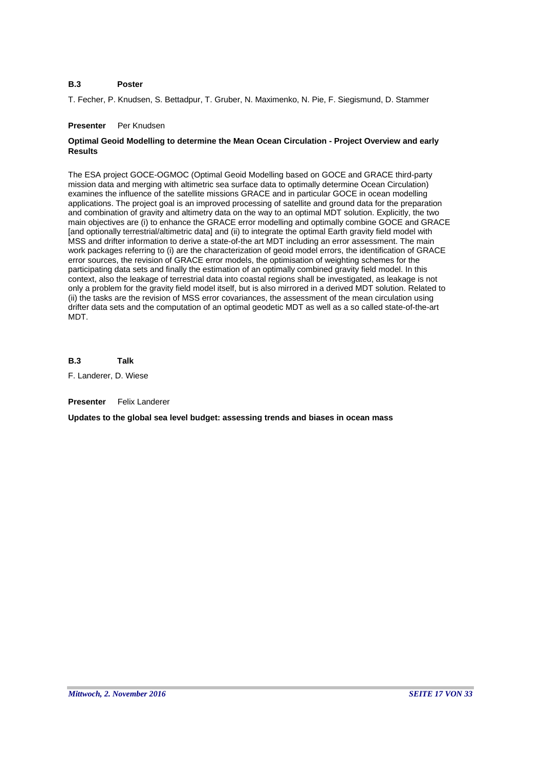#### **B.3 Poster**

T. Fecher, P. Knudsen, S. Bettadpur, T. Gruber, N. Maximenko, N. Pie, F. Siegismund, D. Stammer

# **Presenter** Per Knudsen

# **Optimal Geoid Modelling to determine the Mean Ocean Circulation - Project Overview and early Results**

The ESA project GOCE-OGMOC (Optimal Geoid Modelling based on GOCE and GRACE third-party mission data and merging with altimetric sea surface data to optimally determine Ocean Circulation) examines the influence of the satellite missions GRACE and in particular GOCE in ocean modelling applications. The project goal is an improved processing of satellite and ground data for the preparation and combination of gravity and altimetry data on the way to an optimal MDT solution. Explicitly, the two main objectives are (i) to enhance the GRACE error modelling and optimally combine GOCE and GRACE [and optionally terrestrial/altimetric data] and (ii) to integrate the optimal Earth gravity field model with MSS and drifter information to derive a state-of-the art MDT including an error assessment. The main work packages referring to (i) are the characterization of geoid model errors, the identification of GRACE error sources, the revision of GRACE error models, the optimisation of weighting schemes for the participating data sets and finally the estimation of an optimally combined gravity field model. In this context, also the leakage of terrestrial data into coastal regions shall be investigated, as leakage is not only a problem for the gravity field model itself, but is also mirrored in a derived MDT solution. Related to (ii) the tasks are the revision of MSS error covariances, the assessment of the mean circulation using drifter data sets and the computation of an optimal geodetic MDT as well as a so called state-of-the-art MDT.

**B.3 Talk**

F. Landerer, D. Wiese

**Presenter** Felix Landerer

**Updates to the global sea level budget: assessing trends and biases in ocean mass**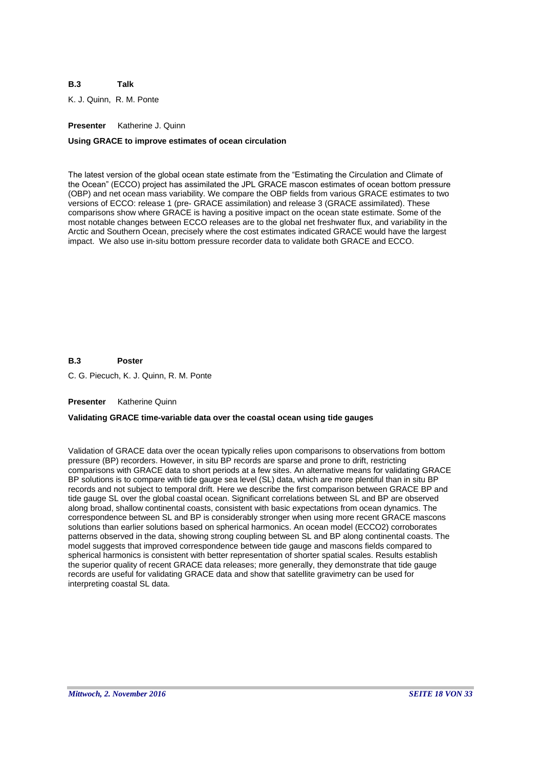#### **B.3 Talk**

K. J. Quinn, R. M. Ponte

# **Presenter** Katherine J. Quinn

# **Using GRACE to improve estimates of ocean circulation**

The latest version of the global ocean state estimate from the "Estimating the Circulation and Climate of the Ocean" (ECCO) project has assimilated the JPL GRACE mascon estimates of ocean bottom pressure (OBP) and net ocean mass variability. We compare the OBP fields from various GRACE estimates to two versions of ECCO: release 1 (pre- GRACE assimilation) and release 3 (GRACE assimilated). These comparisons show where GRACE is having a positive impact on the ocean state estimate. Some of the most notable changes between ECCO releases are to the global net freshwater flux, and variability in the Arctic and Southern Ocean, precisely where the cost estimates indicated GRACE would have the largest impact. We also use in-situ bottom pressure recorder data to validate both GRACE and ECCO.

#### **B.3 Poster**

C. G. Piecuch, K. J. Quinn, R. M. Ponte

### **Presenter** Katherine Quinn

### **Validating GRACE time-variable data over the coastal ocean using tide gauges**

Validation of GRACE data over the ocean typically relies upon comparisons to observations from bottom pressure (BP) recorders. However, in situ BP records are sparse and prone to drift, restricting comparisons with GRACE data to short periods at a few sites. An alternative means for validating GRACE BP solutions is to compare with tide gauge sea level (SL) data, which are more plentiful than in situ BP records and not subject to temporal drift. Here we describe the first comparison between GRACE BP and tide gauge SL over the global coastal ocean. Significant correlations between SL and BP are observed along broad, shallow continental coasts, consistent with basic expectations from ocean dynamics. The correspondence between SL and BP is considerably stronger when using more recent GRACE mascons solutions than earlier solutions based on spherical harmonics. An ocean model (ECCO2) corroborates patterns observed in the data, showing strong coupling between SL and BP along continental coasts. The model suggests that improved correspondence between tide gauge and mascons fields compared to spherical harmonics is consistent with better representation of shorter spatial scales. Results establish the superior quality of recent GRACE data releases; more generally, they demonstrate that tide gauge records are useful for validating GRACE data and show that satellite gravimetry can be used for interpreting coastal SL data.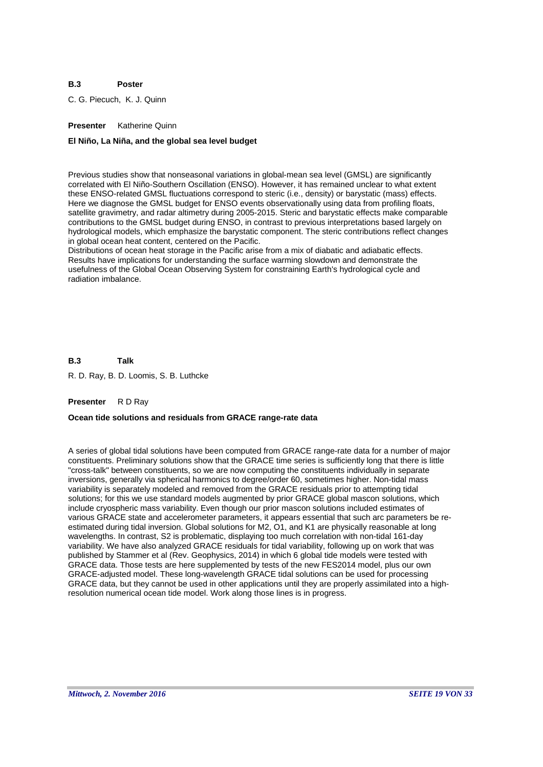#### **B.3 Poster**

C. G. Piecuch, K. J. Quinn

# **Presenter** Katherine Quinn

### **El Niño, La Niña, and the global sea level budget**

Previous studies show that nonseasonal variations in global-mean sea level (GMSL) are significantly correlated with El Niño-Southern Oscillation (ENSO). However, it has remained unclear to what extent these ENSO-related GMSL fluctuations correspond to steric (i.e., density) or barystatic (mass) effects. Here we diagnose the GMSL budget for ENSO events observationally using data from profiling floats, satellite gravimetry, and radar altimetry during 2005-2015. Steric and barystatic effects make comparable contributions to the GMSL budget during ENSO, in contrast to previous interpretations based largely on hydrological models, which emphasize the barystatic component. The steric contributions reflect changes in global ocean heat content, centered on the Pacific.

Distributions of ocean heat storage in the Pacific arise from a mix of diabatic and adiabatic effects. Results have implications for understanding the surface warming slowdown and demonstrate the usefulness of the Global Ocean Observing System for constraining Earth's hydrological cycle and radiation imbalance.

**B.3 Talk**

R. D. Ray, B. D. Loomis, S. B. Luthcke

### **Presenter** R D Ray

### **Ocean tide solutions and residuals from GRACE range-rate data**

A series of global tidal solutions have been computed from GRACE range-rate data for a number of major constituents. Preliminary solutions show that the GRACE time series is sufficiently long that there is little "cross-talk" between constituents, so we are now computing the constituents individually in separate inversions, generally via spherical harmonics to degree/order 60, sometimes higher. Non-tidal mass variability is separately modeled and removed from the GRACE residuals prior to attempting tidal solutions; for this we use standard models augmented by prior GRACE global mascon solutions, which include cryospheric mass variability. Even though our prior mascon solutions included estimates of various GRACE state and accelerometer parameters, it appears essential that such arc parameters be reestimated during tidal inversion. Global solutions for M2, O1, and K1 are physically reasonable at long wavelengths. In contrast, S2 is problematic, displaying too much correlation with non-tidal 161-day variability. We have also analyzed GRACE residuals for tidal variability, following up on work that was published by Stammer et al (Rev. Geophysics, 2014) in which 6 global tide models were tested with GRACE data. Those tests are here supplemented by tests of the new FES2014 model, plus our own GRACE-adjusted model. These long-wavelength GRACE tidal solutions can be used for processing GRACE data, but they cannot be used in other applications until they are properly assimilated into a highresolution numerical ocean tide model. Work along those lines is in progress.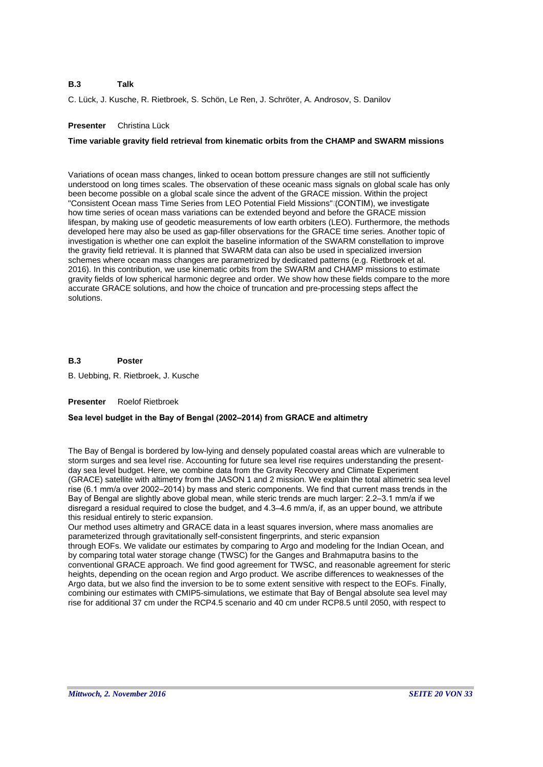#### **B.3 Talk**

C. Lück, J. Kusche, R. Rietbroek, S. Schön, Le Ren, J. Schröter, A. Androsov, S. Danilov

# **Presenter** Christina Lück

# **Time variable gravity field retrieval from kinematic orbits from the CHAMP and SWARM missions**

Variations of ocean mass changes, linked to ocean bottom pressure changes are still not sufficiently understood on long times scales. The observation of these oceanic mass signals on global scale has only been become possible on a global scale since the advent of the GRACE mission. Within the project "Consistent Ocean mass Time Series from LEO Potential Field Missions" (CONTIM), we investigate how time series of ocean mass variations can be extended beyond and before the GRACE mission lifespan, by making use of geodetic measurements of low earth orbiters (LEO). Furthermore, the methods developed here may also be used as gap-filler observations for the GRACE time series. Another topic of investigation is whether one can exploit the baseline information of the SWARM constellation to improve the gravity field retrieval. It is planned that SWARM data can also be used in specialized inversion schemes where ocean mass changes are parametrized by dedicated patterns (e.g. Rietbroek et al. 2016). In this contribution, we use kinematic orbits from the SWARM and CHAMP missions to estimate gravity fields of low spherical harmonic degree and order. We show how these fields compare to the more accurate GRACE solutions, and how the choice of truncation and pre-processing steps affect the solutions.

#### **B.3 Poster**

B. Uebbing, R. Rietbroek, J. Kusche

### **Presenter** Roelof Rietbroek

### **Sea level budget in the Bay of Bengal (2002–2014) from GRACE and altimetry**

The Bay of Bengal is bordered by low-lying and densely populated coastal areas which are vulnerable to storm surges and sea level rise. Accounting for future sea level rise requires understanding the presentday sea level budget. Here, we combine data from the Gravity Recovery and Climate Experiment (GRACE) satellite with altimetry from the JASON 1 and 2 mission. We explain the total altimetric sea level rise (6.1 mm/a over 2002–2014) by mass and steric components. We find that current mass trends in the Bay of Bengal are slightly above global mean, while steric trends are much larger: 2.2–3.1 mm/a if we disregard a residual required to close the budget, and 4.3–4.6 mm/a, if, as an upper bound, we attribute this residual entirely to steric expansion.

Our method uses altimetry and GRACE data in a least squares inversion, where mass anomalies are parameterized through gravitationally self-consistent fingerprints, and steric expansion through EOFs. We validate our estimates by comparing to Argo and modeling for the Indian Ocean, and by comparing total water storage change (TWSC) for the Ganges and Brahmaputra basins to the conventional GRACE approach. We find good agreement for TWSC, and reasonable agreement for steric heights, depending on the ocean region and Argo product. We ascribe differences to weaknesses of the Argo data, but we also find the inversion to be to some extent sensitive with respect to the EOFs. Finally, combining our estimates with CMIP5-simulations, we estimate that Bay of Bengal absolute sea level may rise for additional 37 cm under the RCP4.5 scenario and 40 cm under RCP8.5 until 2050, with respect to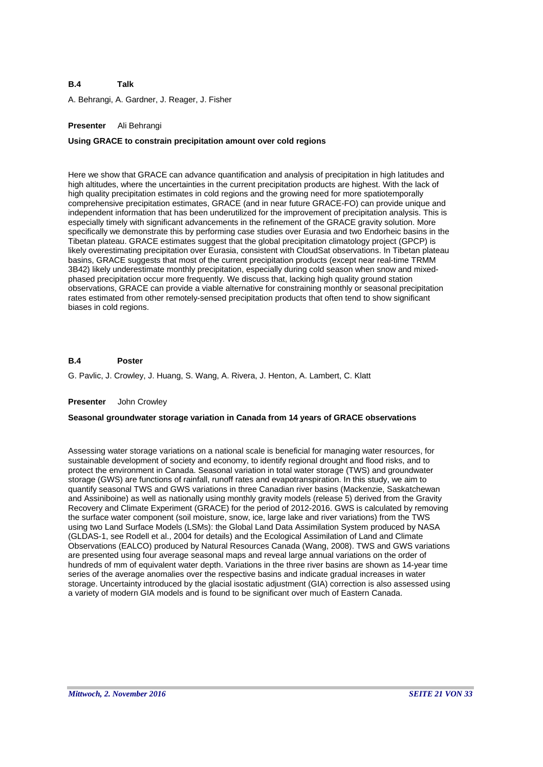A. Behrangi, A. Gardner, J. Reager, J. Fisher

# **Presenter** Ali Behrangi

### **Using GRACE to constrain precipitation amount over cold regions**

Here we show that GRACE can advance quantification and analysis of precipitation in high latitudes and high altitudes, where the uncertainties in the current precipitation products are highest. With the lack of high quality precipitation estimates in cold regions and the growing need for more spatiotemporally comprehensive precipitation estimates, GRACE (and in near future GRACE-FO) can provide unique and independent information that has been underutilized for the improvement of precipitation analysis. This is especially timely with significant advancements in the refinement of the GRACE gravity solution. More specifically we demonstrate this by performing case studies over Eurasia and two Endorheic basins in the Tibetan plateau. GRACE estimates suggest that the global precipitation climatology project (GPCP) is likely overestimating precipitation over Eurasia, consistent with CloudSat observations. In Tibetan plateau basins, GRACE suggests that most of the current precipitation products (except near real-time TRMM 3B42) likely underestimate monthly precipitation, especially during cold season when snow and mixedphased precipitation occur more frequently. We discuss that, lacking high quality ground station observations, GRACE can provide a viable alternative for constraining monthly or seasonal precipitation rates estimated from other remotely-sensed precipitation products that often tend to show significant biases in cold regions.

#### **B.4 Poster**

G. Pavlic, J. Crowley, J. Huang, S. Wang, A. Rivera, J. Henton, A. Lambert, C. Klatt

#### **Presenter** John Crowley

### **Seasonal groundwater storage variation in Canada from 14 years of GRACE observations**

Assessing water storage variations on a national scale is beneficial for managing water resources, for sustainable development of society and economy, to identify regional drought and flood risks, and to protect the environment in Canada. Seasonal variation in total water storage (TWS) and groundwater storage (GWS) are functions of rainfall, runoff rates and evapotranspiration. In this study, we aim to quantify seasonal TWS and GWS variations in three Canadian river basins (Mackenzie, Saskatchewan and Assiniboine) as well as nationally using monthly gravity models (release 5) derived from the Gravity Recovery and Climate Experiment (GRACE) for the period of 2012-2016. GWS is calculated by removing the surface water component (soil moisture, snow, ice, large lake and river variations) from the TWS using two Land Surface Models (LSMs): the Global Land Data Assimilation System produced by NASA (GLDAS-1, see Rodell et al., 2004 for details) and the Ecological Assimilation of Land and Climate Observations (EALCO) produced by Natural Resources Canada (Wang, 2008). TWS and GWS variations are presented using four average seasonal maps and reveal large annual variations on the order of hundreds of mm of equivalent water depth. Variations in the three river basins are shown as 14-year time series of the average anomalies over the respective basins and indicate gradual increases in water storage. Uncertainty introduced by the glacial isostatic adjustment (GIA) correction is also assessed using a variety of modern GIA models and is found to be significant over much of Eastern Canada.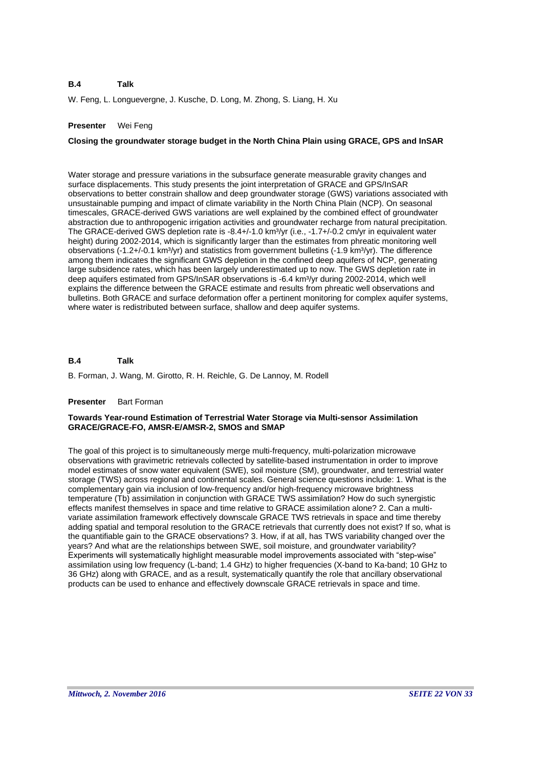W. Feng, L. Longuevergne, J. Kusche, D. Long, M. Zhong, S. Liang, H. Xu

# **Presenter** Wei Feng

# **Closing the groundwater storage budget in the North China Plain using GRACE, GPS and InSAR**

Water storage and pressure variations in the subsurface generate measurable gravity changes and surface displacements. This study presents the joint interpretation of GRACE and GPS/InSAR observations to better constrain shallow and deep groundwater storage (GWS) variations associated with unsustainable pumping and impact of climate variability in the North China Plain (NCP). On seasonal timescales, GRACE-derived GWS variations are well explained by the combined effect of groundwater abstraction due to anthropogenic irrigation activities and groundwater recharge from natural precipitation. The GRACE-derived GWS depletion rate is -8.4+/-1.0 km<sup>3</sup>/yr (i.e., -1.7+/-0.2 cm/yr in equivalent water height) during 2002-2014, which is significantly larger than the estimates from phreatic monitoring well observations (-1.2+/-0.1 km<sup>3</sup>/yr) and statistics from government bulletins (-1.9 km<sup>3</sup>/yr). The difference among them indicates the significant GWS depletion in the confined deep aquifers of NCP, generating large subsidence rates, which has been largely underestimated up to now. The GWS depletion rate in deep aquifers estimated from GPS/InSAR observations is -6.4 km<sup>3</sup>/yr during 2002-2014, which well explains the difference between the GRACE estimate and results from phreatic well observations and bulletins. Both GRACE and surface deformation offer a pertinent monitoring for complex aquifer systems, where water is redistributed between surface, shallow and deep aquifer systems.

#### **B.4 Talk**

B. Forman, J. Wang, M. Girotto, R. H. Reichle, G. De Lannoy, M. Rodell

### **Presenter** Bart Forman

### **Towards Year-round Estimation of Terrestrial Water Storage via Multi-sensor Assimilation GRACE/GRACE-FO, AMSR-E/AMSR-2, SMOS and SMAP**

The goal of this project is to simultaneously merge multi-frequency, multi-polarization microwave observations with gravimetric retrievals collected by satellite-based instrumentation in order to improve model estimates of snow water equivalent (SWE), soil moisture (SM), groundwater, and terrestrial water storage (TWS) across regional and continental scales. General science questions include: 1. What is the complementary gain via inclusion of low-frequency and/or high-frequency microwave brightness temperature (Tb) assimilation in conjunction with GRACE TWS assimilation? How do such synergistic effects manifest themselves in space and time relative to GRACE assimilation alone? 2. Can a multivariate assimilation framework effectively downscale GRACE TWS retrievals in space and time thereby adding spatial and temporal resolution to the GRACE retrievals that currently does not exist? If so, what is the quantifiable gain to the GRACE observations? 3. How, if at all, has TWS variability changed over the years? And what are the relationships between SWE, soil moisture, and groundwater variability? Experiments will systematically highlight measurable model improvements associated with "step-wise" assimilation using low frequency (L-band; 1.4 GHz) to higher frequencies (X-band to Ka-band; 10 GHz to 36 GHz) along with GRACE, and as a result, systematically quantify the role that ancillary observational products can be used to enhance and effectively downscale GRACE retrievals in space and time.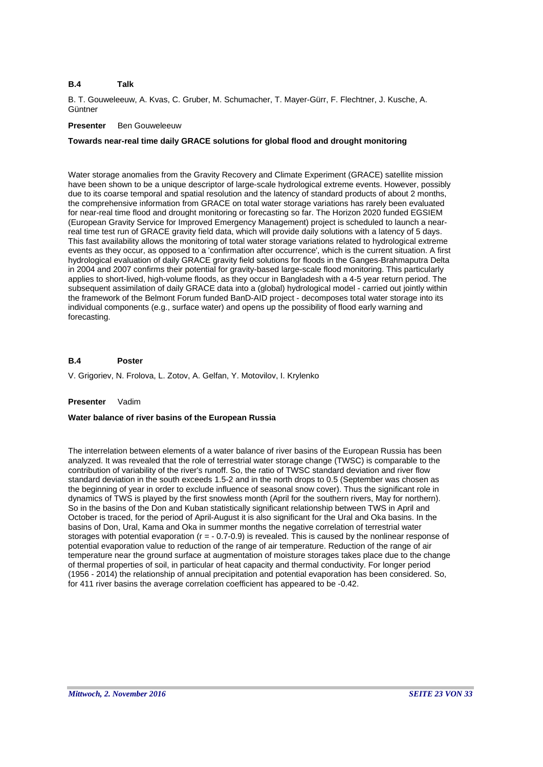B. T. Gouweleeuw, A. Kvas, C. Gruber, M. Schumacher, T. Mayer-Gürr, F. Flechtner, J. Kusche, A. **Güntner** 

# **Presenter** Ben Gouweleeuw

# **Towards near-real time daily GRACE solutions for global flood and drought monitoring**

Water storage anomalies from the Gravity Recovery and Climate Experiment (GRACE) satellite mission have been shown to be a unique descriptor of large-scale hydrological extreme events. However, possibly due to its coarse temporal and spatial resolution and the latency of standard products of about 2 months, the comprehensive information from GRACE on total water storage variations has rarely been evaluated for near-real time flood and drought monitoring or forecasting so far. The Horizon 2020 funded EGSIEM (European Gravity Service for Improved Emergency Management) project is scheduled to launch a nearreal time test run of GRACE gravity field data, which will provide daily solutions with a latency of 5 days. This fast availability allows the monitoring of total water storage variations related to hydrological extreme events as they occur, as opposed to a 'confirmation after occurrence', which is the current situation. A first hydrological evaluation of daily GRACE gravity field solutions for floods in the Ganges-Brahmaputra Delta in 2004 and 2007 confirms their potential for gravity-based large-scale flood monitoring. This particularly applies to short-lived, high-volume floods, as they occur in Bangladesh with a 4-5 year return period. The subsequent assimilation of daily GRACE data into a (global) hydrological model - carried out jointly within the framework of the Belmont Forum funded BanD-AID project - decomposes total water storage into its individual components (e.g., surface water) and opens up the possibility of flood early warning and forecasting.

#### **B.4 Poster**

V. Grigoriev, N. Frolova, L. Zotov, A. Gelfan, Y. Motovilov, I. Krylenko

### **Presenter** Vadim

### **Water balance of river basins of the European Russia**

The interrelation between elements of a water balance of river basins of the European Russia has been analyzed. It was revealed that the role of terrestrial water storage change (TWSC) is comparable to the contribution of variability of the river's runoff. So, the ratio of TWSC standard deviation and river flow standard deviation in the south exceeds 1.5-2 and in the north drops to 0.5 (September was chosen as the beginning of year in order to exclude influence of seasonal snow cover). Thus the significant role in dynamics of TWS is played by the first snowless month (April for the southern rivers, May for northern). So in the basins of the Don and Kuban statistically significant relationship between TWS in April and October is traced, for the period of April-August it is also significant for the Ural and Oka basins. In the basins of Don, Ural, Kama and Oka in summer months the negative correlation of terrestrial water storages with potential evaporation (r = - 0.7-0.9) is revealed. This is caused by the nonlinear response of potential evaporation value to reduction of the range of air temperature. Reduction of the range of air temperature near the ground surface at augmentation of moisture storages takes place due to the change of thermal properties of soil, in particular of heat capacity and thermal conductivity. For longer period (1956 - 2014) the relationship of annual precipitation and potential evaporation has been considered. So, for 411 river basins the average correlation coefficient has appeared to be -0.42.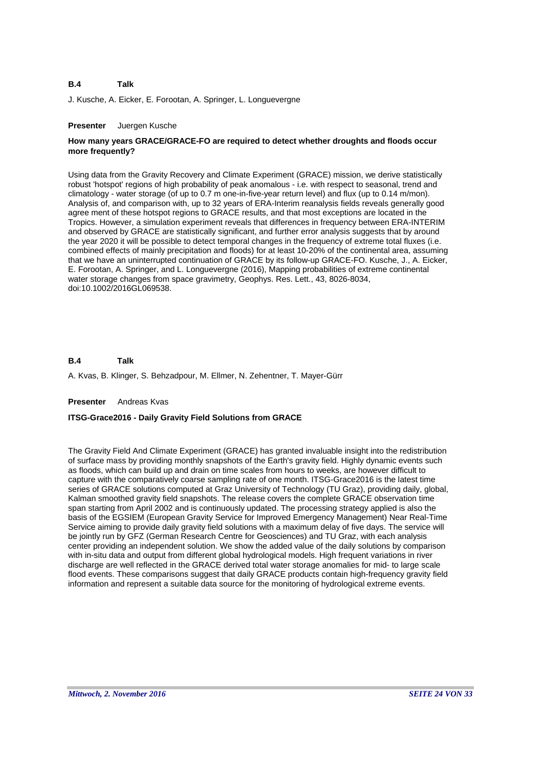J. Kusche, A. Eicker, E. Forootan, A. Springer, L. Longuevergne

#### **Presenter** Juergen Kusche

# **How many years GRACE/GRACE-FO are required to detect whether droughts and floods occur more frequently?**

Using data from the Gravity Recovery and Climate Experiment (GRACE) mission, we derive statistically robust 'hotspot' regions of high probability of peak anomalous - i.e. with respect to seasonal, trend and climatology - water storage (of up to 0.7 m one-in-five-year return level) and flux (up to 0.14 m/mon). Analysis of, and comparison with, up to 32 years of ERA-Interim reanalysis fields reveals generally good agree ment of these hotspot regions to GRACE results, and that most exceptions are located in the Tropics. However, a simulation experiment reveals that differences in frequency between ERA-INTERIM and observed by GRACE are statistically significant, and further error analysis suggests that by around the year 2020 it will be possible to detect temporal changes in the frequency of extreme total fluxes (i.e. combined effects of mainly precipitation and floods) for at least 10-20% of the continental area, assuming that we have an uninterrupted continuation of GRACE by its follow-up GRACE-FO. Kusche, J., A. Eicker, E. Forootan, A. Springer, and L. Longuevergne (2016), Mapping probabilities of extreme continental water storage changes from space gravimetry, Geophys. Res. Lett., 43, 8026-8034, doi:10.1002/2016GL069538.

#### **B.4 Talk**

A. Kvas, B. Klinger, S. Behzadpour, M. Ellmer, N. Zehentner, T. Mayer-Gürr

#### **Presenter** Andreas Kvas

### **ITSG-Grace2016 - Daily Gravity Field Solutions from GRACE**

The Gravity Field And Climate Experiment (GRACE) has granted invaluable insight into the redistribution of surface mass by providing monthly snapshots of the Earth's gravity field. Highly dynamic events such as floods, which can build up and drain on time scales from hours to weeks, are however difficult to capture with the comparatively coarse sampling rate of one month. ITSG-Grace2016 is the latest time series of GRACE solutions computed at Graz University of Technology (TU Graz), providing daily, global, Kalman smoothed gravity field snapshots. The release covers the complete GRACE observation time span starting from April 2002 and is continuously updated. The processing strategy applied is also the basis of the EGSIEM (European Gravity Service for Improved Emergency Management) Near Real-Time Service aiming to provide daily gravity field solutions with a maximum delay of five days. The service will be jointly run by GFZ (German Research Centre for Geosciences) and TU Graz, with each analysis center providing an independent solution. We show the added value of the daily solutions by comparison with in-situ data and output from different global hydrological models. High frequent variations in river discharge are well reflected in the GRACE derived total water storage anomalies for mid- to large scale flood events. These comparisons suggest that daily GRACE products contain high-frequency gravity field information and represent a suitable data source for the monitoring of hydrological extreme events.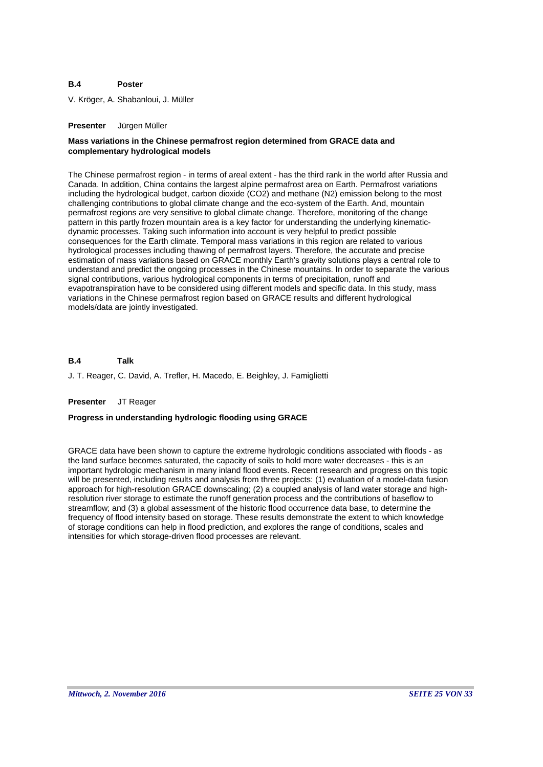#### **B.4 Poster**

V. Kröger, A. Shabanloui, J. Müller

#### **Presenter** Jürgen Müller

# **Mass variations in the Chinese permafrost region determined from GRACE data and complementary hydrological models**

The Chinese permafrost region - in terms of areal extent - has the third rank in the world after Russia and Canada. In addition, China contains the largest alpine permafrost area on Earth. Permafrost variations including the hydrological budget, carbon dioxide (CO2) and methane (N2) emission belong to the most challenging contributions to global climate change and the eco-system of the Earth. And, mountain permafrost regions are very sensitive to global climate change. Therefore, monitoring of the change pattern in this partly frozen mountain area is a key factor for understanding the underlying kinematicdynamic processes. Taking such information into account is very helpful to predict possible consequences for the Earth climate. Temporal mass variations in this region are related to various hydrological processes including thawing of permafrost layers. Therefore, the accurate and precise estimation of mass variations based on GRACE monthly Earth's gravity solutions plays a central role to understand and predict the ongoing processes in the Chinese mountains. In order to separate the various signal contributions, various hydrological components in terms of precipitation, runoff and evapotranspiration have to be considered using different models and specific data. In this study, mass variations in the Chinese permafrost region based on GRACE results and different hydrological models/data are jointly investigated.

#### **B.4 Talk**

J. T. Reager, C. David, A. Trefler, H. Macedo, E. Beighley, J. Famiglietti

### **Presenter** JT Reager

### **Progress in understanding hydrologic flooding using GRACE**

GRACE data have been shown to capture the extreme hydrologic conditions associated with floods - as the land surface becomes saturated, the capacity of soils to hold more water decreases - this is an important hydrologic mechanism in many inland flood events. Recent research and progress on this topic will be presented, including results and analysis from three projects: (1) evaluation of a model-data fusion approach for high-resolution GRACE downscaling; (2) a coupled analysis of land water storage and highresolution river storage to estimate the runoff generation process and the contributions of baseflow to streamflow; and (3) a global assessment of the historic flood occurrence data base, to determine the frequency of flood intensity based on storage. These results demonstrate the extent to which knowledge of storage conditions can help in flood prediction, and explores the range of conditions, scales and intensities for which storage-driven flood processes are relevant.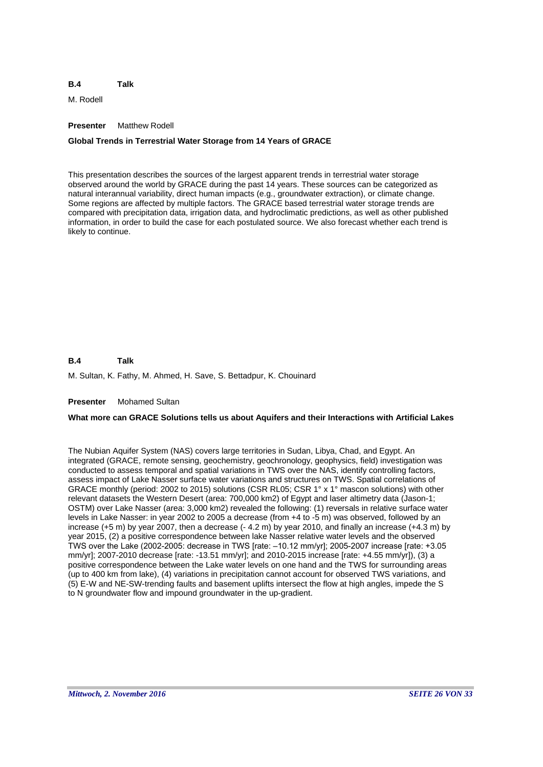M. Rodell

# **Presenter** Matthew Rodell

# **Global Trends in Terrestrial Water Storage from 14 Years of GRACE**

This presentation describes the sources of the largest apparent trends in terrestrial water storage observed around the world by GRACE during the past 14 years. These sources can be categorized as natural interannual variability, direct human impacts (e.g., groundwater extraction), or climate change. Some regions are affected by multiple factors. The GRACE based terrestrial water storage trends are compared with precipitation data, irrigation data, and hydroclimatic predictions, as well as other published information, in order to build the case for each postulated source. We also forecast whether each trend is likely to continue.

#### **B.4 Talk**

M. Sultan, K. Fathy, M. Ahmed, H. Save, S. Bettadpur, K. Chouinard

### **Presenter** Mohamed Sultan

# **What more can GRACE Solutions tells us about Aquifers and their Interactions with Artificial Lakes**

The Nubian Aquifer System (NAS) covers large territories in Sudan, Libya, Chad, and Egypt. An integrated (GRACE, remote sensing, geochemistry, geochronology, geophysics, field) investigation was conducted to assess temporal and spatial variations in TWS over the NAS, identify controlling factors, assess impact of Lake Nasser surface water variations and structures on TWS. Spatial correlations of GRACE monthly (period: 2002 to 2015) solutions (CSR RL05; CSR 1° x 1° mascon solutions) with other relevant datasets the Western Desert (area: 700,000 km2) of Egypt and laser altimetry data (Jason-1; OSTM) over Lake Nasser (area: 3,000 km2) revealed the following: (1) reversals in relative surface water levels in Lake Nasser: in year 2002 to 2005 a decrease (from +4 to -5 m) was observed, followed by an increase (+5 m) by year 2007, then a decrease (- 4.2 m) by year 2010, and finally an increase (+4.3 m) by year 2015, (2) a positive correspondence between lake Nasser relative water levels and the observed TWS over the Lake (2002-2005: decrease in TWS [rate: –10.12 mm/yr]; 2005-2007 increase [rate: +3.05 mm/yr]; 2007-2010 decrease [rate: -13.51 mm/yr]; and 2010-2015 increase [rate: +4.55 mm/yr]), (3) a positive correspondence between the Lake water levels on one hand and the TWS for surrounding areas (up to 400 km from lake), (4) variations in precipitation cannot account for observed TWS variations, and (5) E-W and NE-SW-trending faults and basement uplifts intersect the flow at high angles, impede the S to N groundwater flow and impound groundwater in the up-gradient.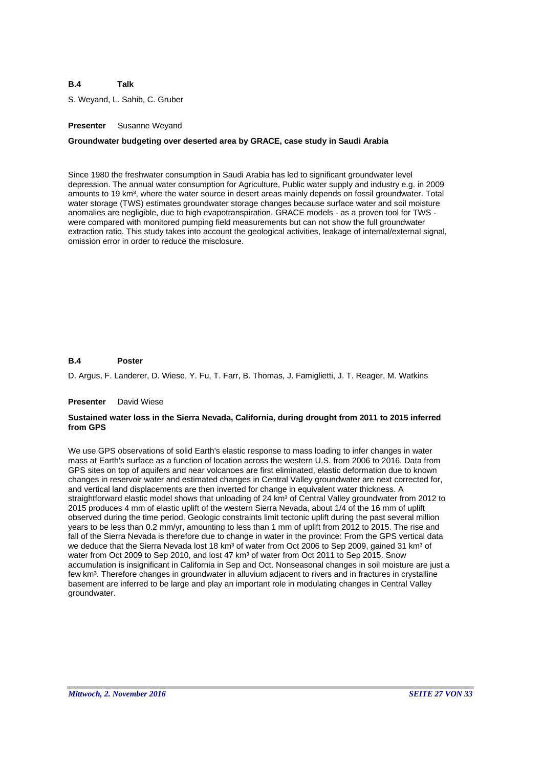S. Weyand, L. Sahib, C. Gruber

# **Presenter** Susanne Weyand

# **Groundwater budgeting over deserted area by GRACE, case study in Saudi Arabia**

Since 1980 the freshwater consumption in Saudi Arabia has led to significant groundwater level depression. The annual water consumption for Agriculture, Public water supply and industry e.g. in 2009 amounts to 19 km<sup>3</sup>, where the water source in desert areas mainly depends on fossil groundwater. Total water storage (TWS) estimates groundwater storage changes because surface water and soil moisture anomalies are negligible, due to high evapotranspiration. GRACE models - as a proven tool for TWS were compared with monitored pumping field measurements but can not show the full groundwater extraction ratio. This study takes into account the geological activities, leakage of internal/external signal, omission error in order to reduce the misclosure.

#### **B.4 Poster**

D. Argus, F. Landerer, D. Wiese, Y. Fu, T. Farr, B. Thomas, J. Famiglietti, J. T. Reager, M. Watkins

#### **Presenter** David Wiese

### **Sustained water loss in the Sierra Nevada, California, during drought from 2011 to 2015 inferred from GPS**

We use GPS observations of solid Earth's elastic response to mass loading to infer changes in water mass at Earth's surface as a function of location across the western U.S. from 2006 to 2016. Data from GPS sites on top of aquifers and near volcanoes are first eliminated, elastic deformation due to known changes in reservoir water and estimated changes in Central Valley groundwater are next corrected for, and vertical land displacements are then inverted for change in equivalent water thickness. A straightforward elastic model shows that unloading of 24 km<sup>3</sup> of Central Valley groundwater from 2012 to 2015 produces 4 mm of elastic uplift of the western Sierra Nevada, about 1/4 of the 16 mm of uplift observed during the time period. Geologic constraints limit tectonic uplift during the past several million years to be less than 0.2 mm/yr, amounting to less than 1 mm of uplift from 2012 to 2015. The rise and fall of the Sierra Nevada is therefore due to change in water in the province: From the GPS vertical data we deduce that the Sierra Nevada lost 18 km<sup>3</sup> of water from Oct 2006 to Sep 2009, gained 31 km<sup>3</sup> of water from Oct 2009 to Sep 2010, and lost 47 km<sup>3</sup> of water from Oct 2011 to Sep 2015. Snow accumulation is insignificant in California in Sep and Oct. Nonseasonal changes in soil moisture are just a few km<sup>3</sup>. Therefore changes in groundwater in alluvium adjacent to rivers and in fractures in crystalline basement are inferred to be large and play an important role in modulating changes in Central Valley groundwater.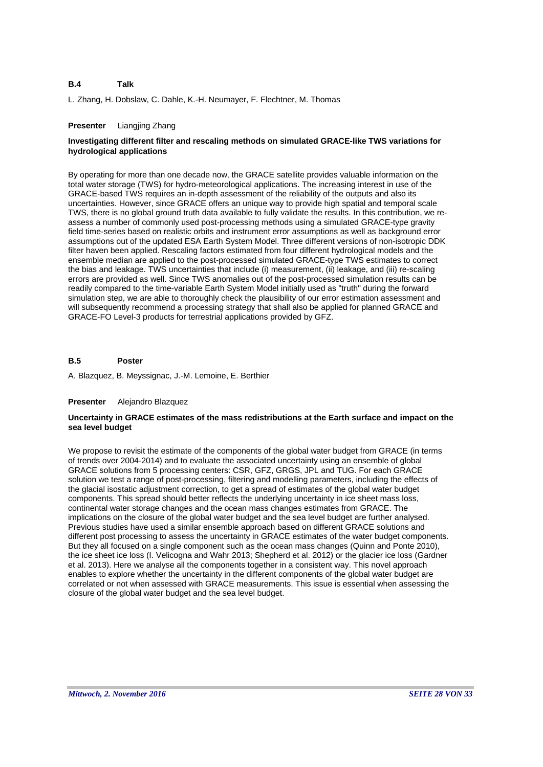L. Zhang, H. Dobslaw, C. Dahle, K.-H. Neumayer, F. Flechtner, M. Thomas

# **Presenter** Liangjing Zhang

# **Investigating different filter and rescaling methods on simulated GRACE-like TWS variations for hydrological applications**

By operating for more than one decade now, the GRACE satellite provides valuable information on the total water storage (TWS) for hydro-meteorological applications. The increasing interest in use of the GRACE-based TWS requires an in-depth assessment of the reliability of the outputs and also its uncertainties. However, since GRACE offers an unique way to provide high spatial and temporal scale TWS, there is no global ground truth data available to fully validate the results. In this contribution, we reassess a number of commonly used post-processing methods using a simulated GRACE-type gravity field time-series based on realistic orbits and instrument error assumptions as well as background error assumptions out of the updated ESA Earth System Model. Three different versions of non-isotropic DDK filter haven been applied. Rescaling factors estimated from four different hydrological models and the ensemble median are applied to the post-processed simulated GRACE-type TWS estimates to correct the bias and leakage. TWS uncertainties that include (i) measurement, (ii) leakage, and (iii) re-scaling errors are provided as well. Since TWS anomalies out of the post-processed simulation results can be readily compared to the time-variable Earth System Model initially used as "truth" during the forward simulation step, we are able to thoroughly check the plausibility of our error estimation assessment and will subsequently recommend a processing strategy that shall also be applied for planned GRACE and GRACE-FO Level-3 products for terrestrial applications provided by GFZ.

#### **B.5 Poster**

A. Blazquez, B. Meyssignac, J.-M. Lemoine, E. Berthier

### **Presenter** Alejandro Blazquez

# **Uncertainty in GRACE estimates of the mass redistributions at the Earth surface and impact on the sea level budget**

We propose to revisit the estimate of the components of the global water budget from GRACE (in terms of trends over 2004-2014) and to evaluate the associated uncertainty using an ensemble of global GRACE solutions from 5 processing centers: CSR, GFZ, GRGS, JPL and TUG. For each GRACE solution we test a range of post-processing, filtering and modelling parameters, including the effects of the glacial isostatic adjustment correction, to get a spread of estimates of the global water budget components. This spread should better reflects the underlying uncertainty in ice sheet mass loss, continental water storage changes and the ocean mass changes estimates from GRACE. The implications on the closure of the global water budget and the sea level budget are further analysed. Previous studies have used a similar ensemble approach based on different GRACE solutions and different post processing to assess the uncertainty in GRACE estimates of the water budget components. But they all focused on a single component such as the ocean mass changes (Quinn and Ponte 2010), the ice sheet ice loss (I. Velicogna and Wahr 2013; Shepherd et al. 2012) or the glacier ice loss (Gardner et al. 2013). Here we analyse all the components together in a consistent way. This novel approach enables to explore whether the uncertainty in the different components of the global water budget are correlated or not when assessed with GRACE measurements. This issue is essential when assessing the closure of the global water budget and the sea level budget.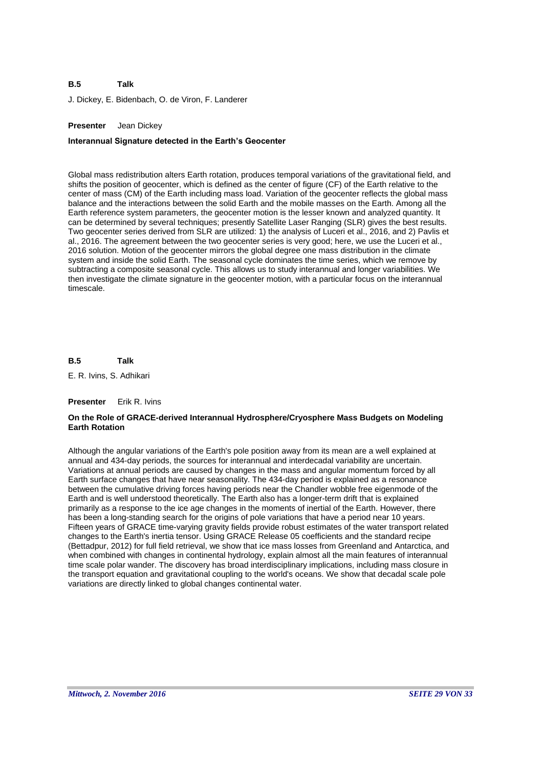#### **B.5 Talk**

J. Dickey, E. Bidenbach, O. de Viron, F. Landerer

# **Presenter** Jean Dickey

### **Interannual Signature detected in the Earth's Geocenter**

Global mass redistribution alters Earth rotation, produces temporal variations of the gravitational field, and shifts the position of geocenter, which is defined as the center of figure (CF) of the Earth relative to the center of mass (CM) of the Earth including mass load. Variation of the geocenter reflects the global mass balance and the interactions between the solid Earth and the mobile masses on the Earth. Among all the Earth reference system parameters, the geocenter motion is the lesser known and analyzed quantity. It can be determined by several techniques; presently Satellite Laser Ranging (SLR) gives the best results. Two geocenter series derived from SLR are utilized: 1) the analysis of Luceri et al., 2016, and 2) Pavlis et al., 2016. The agreement between the two geocenter series is very good; here, we use the Luceri et al., 2016 solution. Motion of the geocenter mirrors the global degree one mass distribution in the climate system and inside the solid Earth. The seasonal cycle dominates the time series, which we remove by subtracting a composite seasonal cycle. This allows us to study interannual and longer variabilities. We then investigate the climate signature in the geocenter motion, with a particular focus on the interannual timescale.

#### **B.5 Talk**

E. R. Ivins, S. Adhikari

#### **Presenter** Erik R. Ivins

### **On the Role of GRACE-derived Interannual Hydrosphere/Cryosphere Mass Budgets on Modeling Earth Rotation**

Although the angular variations of the Earth's pole position away from its mean are a well explained at annual and 434-day periods, the sources for interannual and interdecadal variability are uncertain. Variations at annual periods are caused by changes in the mass and angular momentum forced by all Earth surface changes that have near seasonality. The 434-day period is explained as a resonance between the cumulative driving forces having periods near the Chandler wobble free eigenmode of the Earth and is well understood theoretically. The Earth also has a longer-term drift that is explained primarily as a response to the ice age changes in the moments of inertial of the Earth. However, there has been a long-standing search for the origins of pole variations that have a period near 10 years. Fifteen years of GRACE time-varying gravity fields provide robust estimates of the water transport related changes to the Earth's inertia tensor. Using GRACE Release 05 coefficients and the standard recipe (Bettadpur, 2012) for full field retrieval, we show that ice mass losses from Greenland and Antarctica, and when combined with changes in continental hydrology, explain almost all the main features of interannual time scale polar wander. The discovery has broad interdisciplinary implications, including mass closure in the transport equation and gravitational coupling to the world's oceans. We show that decadal scale pole variations are directly linked to global changes continental water.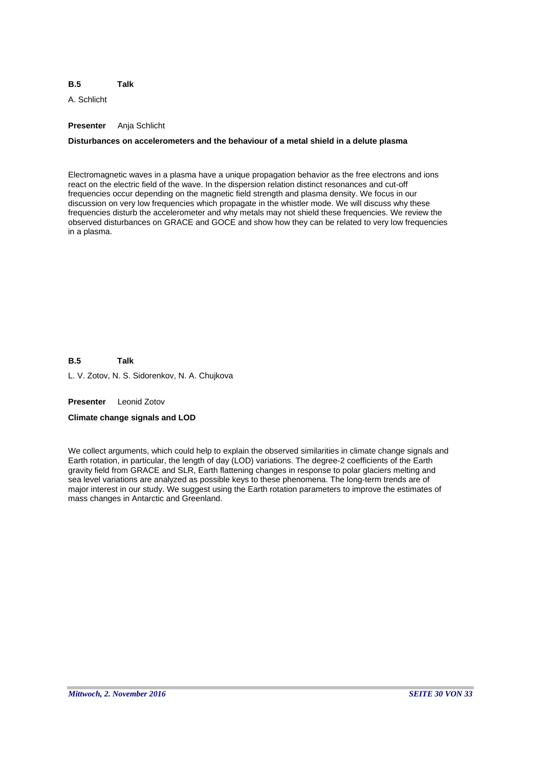#### **B.5 Talk**

A. Schlicht

# **Presenter** Anja Schlicht

# **Disturbances on accelerometers and the behaviour of a metal shield in a delute plasma**

Electromagnetic waves in a plasma have a unique propagation behavior as the free electrons and ions react on the electric field of the wave. In the dispersion relation distinct resonances and cut-off frequencies occur depending on the magnetic field strength and plasma density. We focus in our discussion on very low frequencies which propagate in the whistler mode. We will discuss why these frequencies disturb the accelerometer and why metals may not shield these frequencies. We review the observed disturbances on GRACE and GOCE and show how they can be related to very low frequencies in a plasma.

**B.5** L. V. Zotov, N. S. Sidorenkov, N. A. Chujkova **Talk**

**Presenter** Leonid Zotov

### **Climate change signals and LOD**

We collect arguments, which could help to explain the observed similarities in climate change signals and Earth rotation, in particular, the length of day (LOD) variations. The degree-2 coefficients of the Earth gravity field from GRACE and SLR, Earth flattening changes in response to polar glaciers melting and sea level variations are analyzed as possible keys to these phenomena. The long-term trends are of major interest in our study. We suggest using the Earth rotation parameters to improve the estimates of mass changes in Antarctic and Greenland.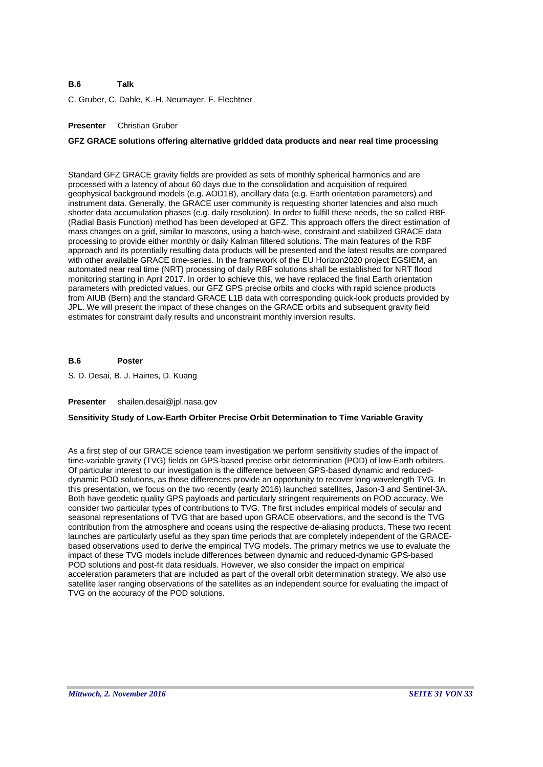#### **B.6 Talk**

C. Gruber, C. Dahle, K.-H. Neumayer, F. Flechtner

# **Presenter** Christian Gruber

# **GFZ GRACE solutions offering alternative gridded data products and near real time processing**

Standard GFZ GRACE gravity fields are provided as sets of monthly spherical harmonics and are processed with a latency of about 60 days due to the consolidation and acquisition of required geophysical background models (e.g. AOD1B), ancillary data (e.g. Earth orientation parameters) and instrument data. Generally, the GRACE user community is requesting shorter latencies and also much shorter data accumulation phases (e.g. daily resolution). In order to fulfill these needs, the so called RBF (Radial Basis Function) method has been developed at GFZ. This approach offers the direct estimation of mass changes on a grid, similar to mascons, using a batch-wise, constraint and stabilized GRACE data processing to provide either monthly or daily Kalman filtered solutions. The main features of the RBF approach and its potentially resulting data products will be presented and the latest results are compared with other available GRACE time-series. In the framework of the EU Horizon2020 project EGSIEM, an automated near real time (NRT) processing of daily RBF solutions shall be established for NRT flood monitoring starting in April 2017. In order to achieve this, we have replaced the final Earth orientation parameters with predicted values, our GFZ GPS precise orbits and clocks with rapid science products from AIUB (Bern) and the standard GRACE L1B data with corresponding quick-look products provided by JPL. We will present the impact of these changes on the GRACE orbits and subsequent gravity field estimates for constraint daily results and unconstraint monthly inversion results.

#### **B.6 Poster**

S. D. Desai, B. J. Haines, D. Kuang

#### **Presenter** shailen.desai@jpl.nasa.gov

### **Sensitivity Study of Low-Earth Orbiter Precise Orbit Determination to Time Variable Gravity**

As a first step of our GRACE science team investigation we perform sensitivity studies of the impact of time-variable gravity (TVG) fields on GPS-based precise orbit determination (POD) of low-Earth orbiters. Of particular interest to our investigation is the difference between GPS-based dynamic and reduceddynamic POD solutions, as those differences provide an opportunity to recover long-wavelength TVG. In this presentation, we focus on the two recently (early 2016) launched satellites, Jason-3 and Sentinel-3A. Both have geodetic quality GPS payloads and particularly stringent requirements on POD accuracy. We consider two particular types of contributions to TVG. The first includes empirical models of secular and seasonal representations of TVG that are based upon GRACE observations, and the second is the TVG contribution from the atmosphere and oceans using the respective de-aliasing products. These two recent launches are particularly useful as they span time periods that are completely independent of the GRACEbased observations used to derive the empirical TVG models. The primary metrics we use to evaluate the impact of these TVG models include differences between dynamic and reduced-dynamic GPS-based POD solutions and post-fit data residuals. However, we also consider the impact on empirical acceleration parameters that are included as part of the overall orbit determination strategy. We also use satellite laser ranging observations of the satellites as an independent source for evaluating the impact of TVG on the accuracy of the POD solutions.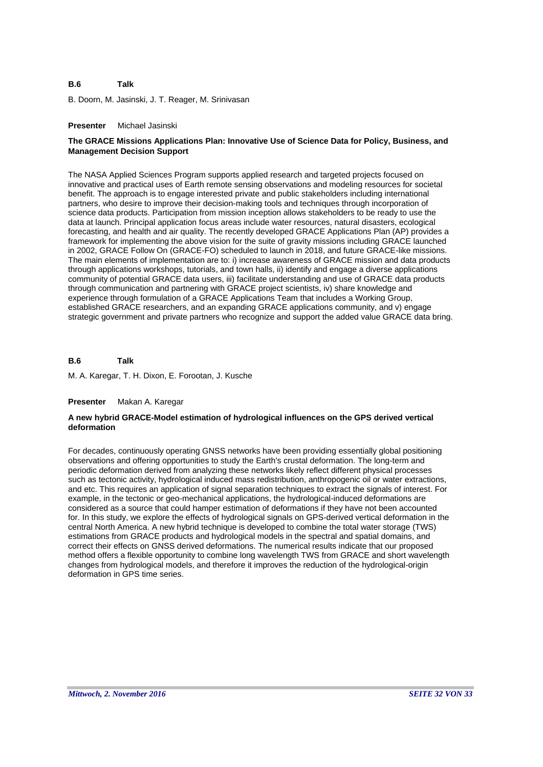#### **B.6 Talk**

B. Doorn, M. Jasinski, J. T. Reager, M. Srinivasan

### **Presenter** Michael Jasinski

# **The GRACE Missions Applications Plan: Innovative Use of Science Data for Policy, Business, and Management Decision Support**

The NASA Applied Sciences Program supports applied research and targeted projects focused on innovative and practical uses of Earth remote sensing observations and modeling resources for societal benefit. The approach is to engage interested private and public stakeholders including international partners, who desire to improve their decision-making tools and techniques through incorporation of science data products. Participation from mission inception allows stakeholders to be ready to use the data at launch. Principal application focus areas include water resources, natural disasters, ecological forecasting, and health and air quality. The recently developed GRACE Applications Plan (AP) provides a framework for implementing the above vision for the suite of gravity missions including GRACE launched in 2002, GRACE Follow On (GRACE-FO) scheduled to launch in 2018, and future GRACE-like missions. The main elements of implementation are to: i) increase awareness of GRACE mission and data products through applications workshops, tutorials, and town halls, ii) identify and engage a diverse applications community of potential GRACE data users, iii) facilitate understanding and use of GRACE data products through communication and partnering with GRACE project scientists, iv) share knowledge and experience through formulation of a GRACE Applications Team that includes a Working Group, established GRACE researchers, and an expanding GRACE applications community, and v) engage strategic government and private partners who recognize and support the added value GRACE data bring.

#### **B.6 Talk**

M. A. Karegar, T. H. Dixon, E. Forootan, J. Kusche

#### **Presenter** Makan A. Karegar

### **A new hybrid GRACE-Model estimation of hydrological influences on the GPS derived vertical deformation**

For decades, continuously operating GNSS networks have been providing essentially global positioning observations and offering opportunities to study the Earth's crustal deformation. The long-term and periodic deformation derived from analyzing these networks likely reflect different physical processes such as tectonic activity, hydrological induced mass redistribution, anthropogenic oil or water extractions, and etc. This requires an application of signal separation techniques to extract the signals of interest. For example, in the tectonic or geo-mechanical applications, the hydrological-induced deformations are considered as a source that could hamper estimation of deformations if they have not been accounted for. In this study, we explore the effects of hydrological signals on GPS-derived vertical deformation in the central North America. A new hybrid technique is developed to combine the total water storage (TWS) estimations from GRACE products and hydrological models in the spectral and spatial domains, and correct their effects on GNSS derived deformations. The numerical results indicate that our proposed method offers a flexible opportunity to combine long wavelength TWS from GRACE and short wavelength changes from hydrological models, and therefore it improves the reduction of the hydrological-origin deformation in GPS time series.